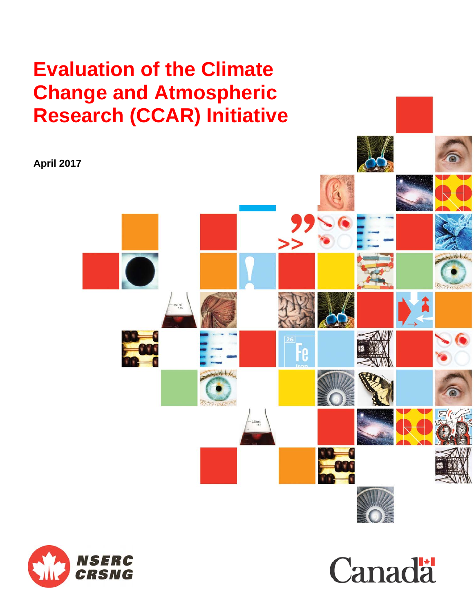# **Evaluation of the Climate Change and Atmospheric Research (CCAR) Initiative**





**Canadä**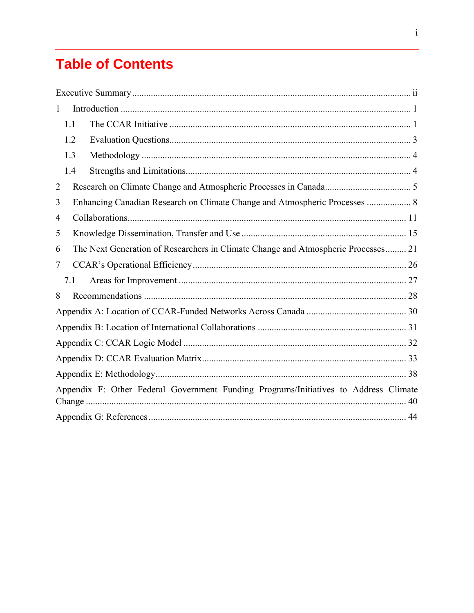# **Table of Contents**

| $\mathbf{1}$   |                                                                                      |
|----------------|--------------------------------------------------------------------------------------|
| 1.1            |                                                                                      |
| 1.2            |                                                                                      |
| 1.3            |                                                                                      |
| 1.4            |                                                                                      |
| $\overline{2}$ |                                                                                      |
| 3              | Enhancing Canadian Research on Climate Change and Atmospheric Processes  8           |
| 4              |                                                                                      |
| 5              |                                                                                      |
| 6              | The Next Generation of Researchers in Climate Change and Atmospheric Processes 21    |
| 7              |                                                                                      |
| 7.1            |                                                                                      |
| 8              |                                                                                      |
|                |                                                                                      |
|                |                                                                                      |
|                |                                                                                      |
|                |                                                                                      |
|                |                                                                                      |
|                | Appendix F: Other Federal Government Funding Programs/Initiatives to Address Climate |
|                |                                                                                      |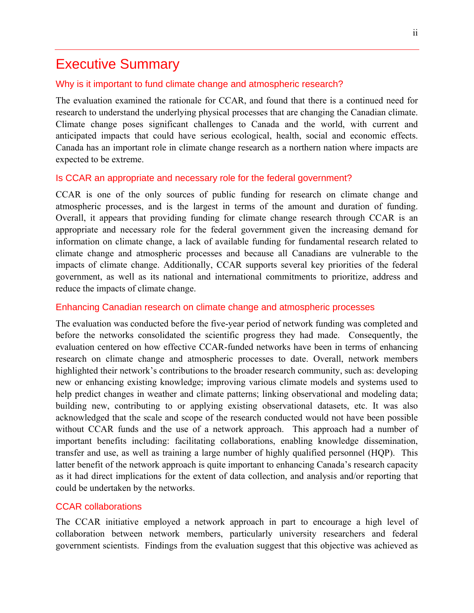### Executive Summary

#### Why is it important to fund climate change and atmospheric research?

The evaluation examined the rationale for CCAR, and found that there is a continued need for research to understand the underlying physical processes that are changing the Canadian climate. Climate change poses significant challenges to Canada and the world, with current and anticipated impacts that could have serious ecological, health, social and economic effects. Canada has an important role in climate change research as a northern nation where impacts are expected to be extreme.

#### Is CCAR an appropriate and necessary role for the federal government?

CCAR is one of the only sources of public funding for research on climate change and atmospheric processes, and is the largest in terms of the amount and duration of funding. Overall, it appears that providing funding for climate change research through CCAR is an appropriate and necessary role for the federal government given the increasing demand for information on climate change, a lack of available funding for fundamental research related to climate change and atmospheric processes and because all Canadians are vulnerable to the impacts of climate change. Additionally, CCAR supports several key priorities of the federal government, as well as its national and international commitments to prioritize, address and reduce the impacts of climate change.

#### Enhancing Canadian research on climate change and atmospheric processes

The evaluation was conducted before the five-year period of network funding was completed and before the networks consolidated the scientific progress they had made. Consequently, the evaluation centered on how effective CCAR-funded networks have been in terms of enhancing research on climate change and atmospheric processes to date. Overall, network members highlighted their network's contributions to the broader research community, such as: developing new or enhancing existing knowledge; improving various climate models and systems used to help predict changes in weather and climate patterns; linking observational and modeling data; building new, contributing to or applying existing observational datasets, etc. It was also acknowledged that the scale and scope of the research conducted would not have been possible without CCAR funds and the use of a network approach. This approach had a number of important benefits including: facilitating collaborations, enabling knowledge dissemination, transfer and use, as well as training a large number of highly qualified personnel (HQP). This latter benefit of the network approach is quite important to enhancing Canada's research capacity as it had direct implications for the extent of data collection, and analysis and/or reporting that could be undertaken by the networks.

#### CCAR collaborations

The CCAR initiative employed a network approach in part to encourage a high level of collaboration between network members, particularly university researchers and federal government scientists. Findings from the evaluation suggest that this objective was achieved as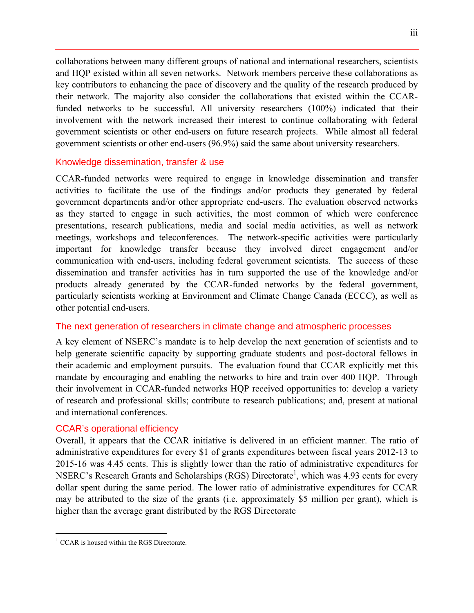collaborations between many different groups of national and international researchers, scientists and HQP existed within all seven networks. Network members perceive these collaborations as key contributors to enhancing the pace of discovery and the quality of the research produced by their network. The majority also consider the collaborations that existed within the CCARfunded networks to be successful. All university researchers (100%) indicated that their involvement with the network increased their interest to continue collaborating with federal government scientists or other end-users on future research projects. While almost all federal government scientists or other end-users (96.9%) said the same about university researchers.

### Knowledge dissemination, transfer & use

CCAR-funded networks were required to engage in knowledge dissemination and transfer activities to facilitate the use of the findings and/or products they generated by federal government departments and/or other appropriate end-users. The evaluation observed networks as they started to engage in such activities, the most common of which were conference presentations, research publications, media and social media activities, as well as network meetings, workshops and teleconferences. The network-specific activities were particularly important for knowledge transfer because they involved direct engagement and/or communication with end-users, including federal government scientists. The success of these dissemination and transfer activities has in turn supported the use of the knowledge and/or products already generated by the CCAR-funded networks by the federal government, particularly scientists working at Environment and Climate Change Canada (ECCC), as well as other potential end-users.

### The next generation of researchers in climate change and atmospheric processes

A key element of NSERC's mandate is to help develop the next generation of scientists and to help generate scientific capacity by supporting graduate students and post-doctoral fellows in their academic and employment pursuits. The evaluation found that CCAR explicitly met this mandate by encouraging and enabling the networks to hire and train over 400 HQP. Through their involvement in CCAR-funded networks HQP received opportunities to: develop a variety of research and professional skills; contribute to research publications; and, present at national and international conferences.

### CCAR's operational efficiency

Overall, it appears that the CCAR initiative is delivered in an efficient manner. The ratio of administrative expenditures for every \$1 of grants expenditures between fiscal years 2012-13 to 2015-16 was 4.45 cents. This is slightly lower than the ratio of administrative expenditures for NSERC's Research Grants and Scholarships (RGS) Directorate<sup>1</sup>, which was 4.93 cents for every dollar spent during the same period. The lower ratio of administrative expenditures for CCAR may be attributed to the size of the grants (i.e. approximately \$5 million per grant), which is higher than the average grant distributed by the RGS Directorate

 $1$  CCAR is housed within the RGS Directorate.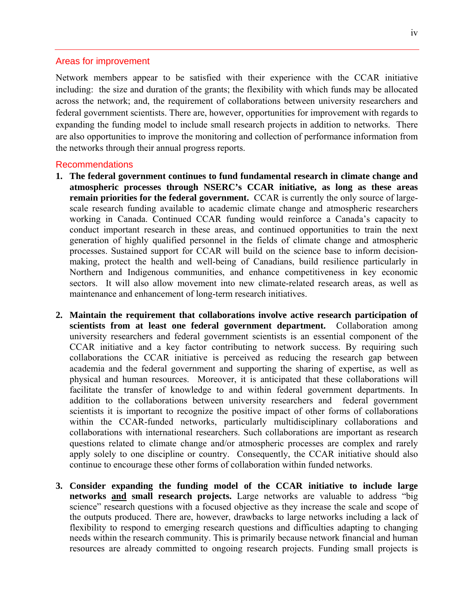#### Areas for improvement

Network members appear to be satisfied with their experience with the CCAR initiative including: the size and duration of the grants; the flexibility with which funds may be allocated across the network; and, the requirement of collaborations between university researchers and federal government scientists. There are, however, opportunities for improvement with regards to expanding the funding model to include small research projects in addition to networks. There are also opportunities to improve the monitoring and collection of performance information from the networks through their annual progress reports.

#### Recommendations

- **1. The federal government continues to fund fundamental research in climate change and atmospheric processes through NSERC's CCAR initiative, as long as these areas remain priorities for the federal government.** CCAR is currently the only source of largescale research funding available to academic climate change and atmospheric researchers working in Canada. Continued CCAR funding would reinforce a Canada's capacity to conduct important research in these areas, and continued opportunities to train the next generation of highly qualified personnel in the fields of climate change and atmospheric processes. Sustained support for CCAR will build on the science base to inform decisionmaking, protect the health and well-being of Canadians, build resilience particularly in Northern and Indigenous communities, and enhance competitiveness in key economic sectors. It will also allow movement into new climate-related research areas, as well as maintenance and enhancement of long-term research initiatives.
- **2. Maintain the requirement that collaborations involve active research participation of scientists from at least one federal government department.** Collaboration among university researchers and federal government scientists is an essential component of the CCAR initiative and a key factor contributing to network success. By requiring such collaborations the CCAR initiative is perceived as reducing the research gap between academia and the federal government and supporting the sharing of expertise, as well as physical and human resources. Moreover, it is anticipated that these collaborations will facilitate the transfer of knowledge to and within federal government departments. In addition to the collaborations between university researchers and federal government scientists it is important to recognize the positive impact of other forms of collaborations within the CCAR-funded networks, particularly multidisciplinary collaborations and collaborations with international researchers. Such collaborations are important as research questions related to climate change and/or atmospheric processes are complex and rarely apply solely to one discipline or country. Consequently, the CCAR initiative should also continue to encourage these other forms of collaboration within funded networks.
- **3. Consider expanding the funding model of the CCAR initiative to include large networks and small research projects.** Large networks are valuable to address "big science" research questions with a focused objective as they increase the scale and scope of the outputs produced. There are, however, drawbacks to large networks including a lack of flexibility to respond to emerging research questions and difficulties adapting to changing needs within the research community. This is primarily because network financial and human resources are already committed to ongoing research projects. Funding small projects is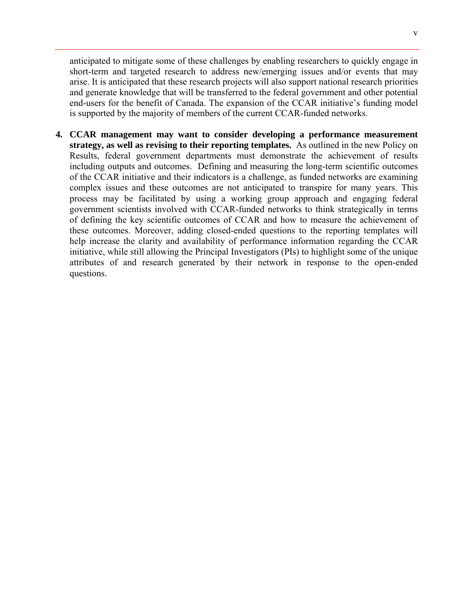anticipated to mitigate some of these challenges by enabling researchers to quickly engage in short-term and targeted research to address new/emerging issues and/or events that may arise. It is anticipated that these research projects will also support national research priorities and generate knowledge that will be transferred to the federal government and other potential end-users for the benefit of Canada. The expansion of the CCAR initiative's funding model is supported by the majority of members of the current CCAR-funded networks.

**4. CCAR management may want to consider developing a performance measurement strategy, as well as revising to their reporting templates.** As outlined in the new Policy on Results, federal government departments must demonstrate the achievement of results including outputs and outcomes. Defining and measuring the long-term scientific outcomes of the CCAR initiative and their indicators is a challenge, as funded networks are examining complex issues and these outcomes are not anticipated to transpire for many years. This process may be facilitated by using a working group approach and engaging federal government scientists involved with CCAR-funded networks to think strategically in terms of defining the key scientific outcomes of CCAR and how to measure the achievement of these outcomes. Moreover, adding closed-ended questions to the reporting templates will help increase the clarity and availability of performance information regarding the CCAR initiative, while still allowing the Principal Investigators (PIs) to highlight some of the unique attributes of and research generated by their network in response to the open-ended questions.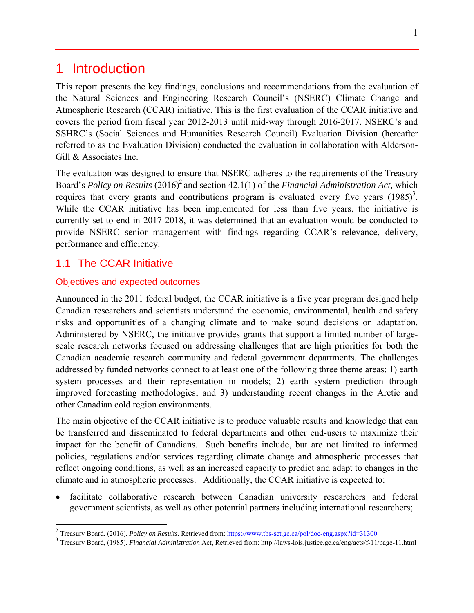### 1 Introduction

This report presents the key findings, conclusions and recommendations from the evaluation of the Natural Sciences and Engineering Research Council's (NSERC) Climate Change and Atmospheric Research (CCAR) initiative. This is the first evaluation of the CCAR initiative and covers the period from fiscal year 2012-2013 until mid-way through 2016-2017. NSERC's and SSHRC's (Social Sciences and Humanities Research Council) Evaluation Division (hereafter referred to as the Evaluation Division) conducted the evaluation in collaboration with Alderson-Gill & Associates Inc.

The evaluation was designed to ensure that NSERC adheres to the requirements of the Treasury Board's *Policy on Results* (2016)<sup>2</sup> and section 42.1(1) of the *Financial Administration Act*, which requires that every grants and contributions program is evaluated every five years  $(1985)^3$ . While the CCAR initiative has been implemented for less than five years, the initiative is currently set to end in 2017-2018, it was determined that an evaluation would be conducted to provide NSERC senior management with findings regarding CCAR's relevance, delivery, performance and efficiency.

### 1.1 The CCAR Initiative

 $\overline{a}$ 

### Objectives and expected outcomes

Announced in the 2011 federal budget, the CCAR initiative is a five year program designed help Canadian researchers and scientists understand the economic, environmental, health and safety risks and opportunities of a changing climate and to make sound decisions on adaptation. Administered by NSERC, the initiative provides grants that support a limited number of largescale research networks focused on addressing challenges that are high priorities for both the Canadian academic research community and federal government departments. The challenges addressed by funded networks connect to at least one of the following three theme areas: 1) earth system processes and their representation in models; 2) earth system prediction through improved forecasting methodologies; and 3) understanding recent changes in the Arctic and other Canadian cold region environments.

The main objective of the CCAR initiative is to produce valuable results and knowledge that can be transferred and disseminated to federal departments and other end-users to maximize their impact for the benefit of Canadians. Such benefits include, but are not limited to informed policies, regulations and/or services regarding climate change and atmospheric processes that reflect ongoing conditions, as well as an increased capacity to predict and adapt to changes in the climate and in atmospheric processes. Additionally, the CCAR initiative is expected to:

 facilitate collaborative research between Canadian university researchers and federal government scientists, as well as other potential partners including international researchers;

<sup>&</sup>lt;sup>2</sup> Treasury Board. (2016). *Policy on Results*. Retrieved from:  $\frac{https://www.tbs-set.gc.ca/pol/doc-eng.aspx?id=31300}{3}$ <br><sup>3</sup> Treasury Board, (1985). *Financial Administration* Act, Retrieved from: http://laws-lois.justice.gc.ca/eng/acts/f-1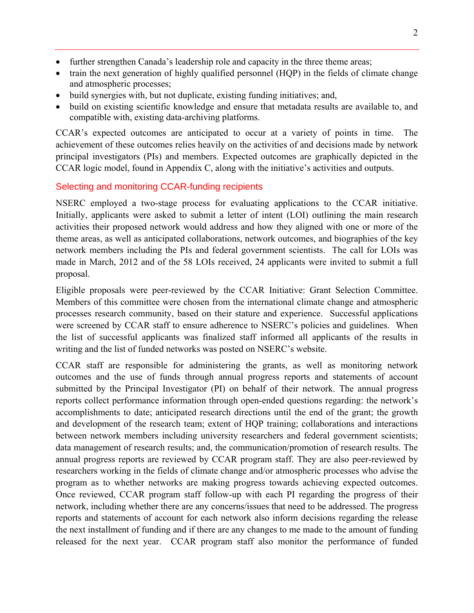- further strengthen Canada's leadership role and capacity in the three theme areas;
- train the next generation of highly qualified personnel (HQP) in the fields of climate change and atmospheric processes;
- build synergies with, but not duplicate, existing funding initiatives; and,
- build on existing scientific knowledge and ensure that metadata results are available to, and compatible with, existing data-archiving platforms.

CCAR's expected outcomes are anticipated to occur at a variety of points in time. The achievement of these outcomes relies heavily on the activities of and decisions made by network principal investigators (PIs) and members. Expected outcomes are graphically depicted in the CCAR logic model, found in Appendix C, along with the initiative's activities and outputs.

### Selecting and monitoring CCAR-funding recipients

NSERC employed a two-stage process for evaluating applications to the CCAR initiative. Initially, applicants were asked to submit a letter of intent (LOI) outlining the main research activities their proposed network would address and how they aligned with one or more of the theme areas, as well as anticipated collaborations, network outcomes, and biographies of the key network members including the PIs and federal government scientists. The call for LOIs was made in March, 2012 and of the 58 LOIs received, 24 applicants were invited to submit a full proposal.

Eligible proposals were peer-reviewed by the CCAR Initiative: Grant Selection Committee. Members of this committee were chosen from the international climate change and atmospheric processes research community, based on their stature and experience. Successful applications were screened by CCAR staff to ensure adherence to NSERC's policies and guidelines. When the list of successful applicants was finalized staff informed all applicants of the results in writing and the list of funded networks was posted on NSERC's website.

CCAR staff are responsible for administering the grants, as well as monitoring network outcomes and the use of funds through annual progress reports and statements of account submitted by the Principal Investigator (PI) on behalf of their network. The annual progress reports collect performance information through open-ended questions regarding: the network's accomplishments to date; anticipated research directions until the end of the grant; the growth and development of the research team; extent of HQP training; collaborations and interactions between network members including university researchers and federal government scientists; data management of research results; and, the communication/promotion of research results. The annual progress reports are reviewed by CCAR program staff. They are also peer-reviewed by researchers working in the fields of climate change and/or atmospheric processes who advise the program as to whether networks are making progress towards achieving expected outcomes. Once reviewed, CCAR program staff follow-up with each PI regarding the progress of their network, including whether there are any concerns/issues that need to be addressed. The progress reports and statements of account for each network also inform decisions regarding the release the next installment of funding and if there are any changes to me made to the amount of funding released for the next year. CCAR program staff also monitor the performance of funded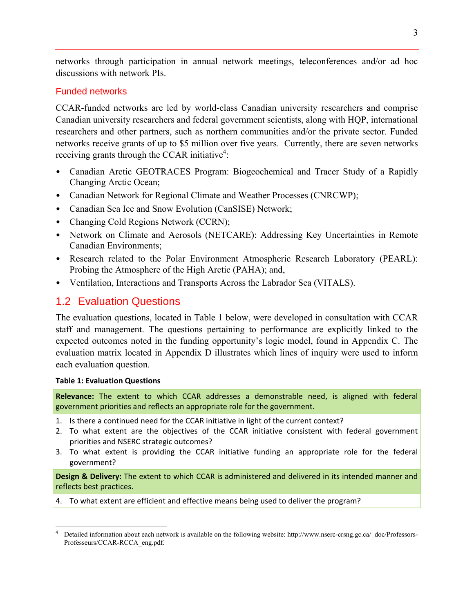networks through participation in annual network meetings, teleconferences and/or ad hoc discussions with network PIs.

### Funded networks

CCAR-funded networks are led by world-class Canadian university researchers and comprise Canadian university researchers and federal government scientists, along with HQP, international researchers and other partners, such as northern communities and/or the private sector. Funded networks receive grants of up to \$5 million over five years. Currently, there are seven networks receiving grants through the CCAR initiative<sup>4</sup>:

- Canadian Arctic GEOTRACES Program: Biogeochemical and Tracer Study of a Rapidly Changing Arctic Ocean;
- Canadian Network for Regional Climate and Weather Processes (CNRCWP);
- Canadian Sea Ice and Snow Evolution (CanSISE) Network;
- Changing Cold Regions Network (CCRN);
- Network on Climate and Aerosols (NETCARE): Addressing Key Uncertainties in Remote Canadian Environments;
- Research related to the Polar Environment Atmospheric Research Laboratory (PEARL): Probing the Atmosphere of the High Arctic (PAHA); and,
- Ventilation, Interactions and Transports Across the Labrador Sea (VITALS).

### 1.2 Evaluation Questions

The evaluation questions, located in Table 1 below, were developed in consultation with CCAR staff and management. The questions pertaining to performance are explicitly linked to the expected outcomes noted in the funding opportunity's logic model, found in Appendix C. The evaluation matrix located in Appendix D illustrates which lines of inquiry were used to inform each evaluation question.

#### **Table 1: Evaluation Questions**

**Relevance:** The extent to which CCAR addresses a demonstrable need, is aligned with federal government priorities and reflects an appropriate role for the government.

- 1. Is there a continued need for the CCAR initiative in light of the current context?
- 2. To what extent are the objectives of the CCAR initiative consistent with federal government priorities and NSERC strategic outcomes?
- 3. To what extent is providing the CCAR initiative funding an appropriate role for the federal government?

**Design & Delivery:** The extent to which CCAR is administered and delivered in its intended manner and reflects best practices.

4. To what extent are efficient and effective means being used to deliver the program?

 $\overline{a}$ 4 Detailed information about each network is available on the following website: http://www.nserc-crsng.gc.ca/\_doc/Professors-Professeurs/CCAR-RCCA\_eng.pdf.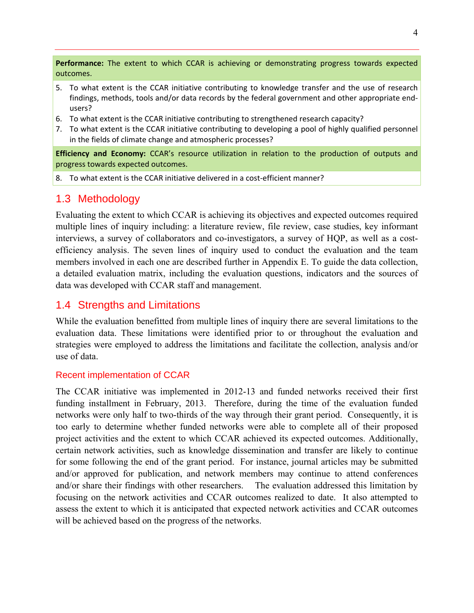**Performance:** The extent to which CCAR is achieving or demonstrating progress towards expected outcomes.

- 5. To what extent is the CCAR initiative contributing to knowledge transfer and the use of research findings, methods, tools and/or data records by the federal government and other appropriate end‐ users?
- 6. To what extent is the CCAR initiative contributing to strengthened research capacity?
- 7. To what extent is the CCAR initiative contributing to developing a pool of highly qualified personnel in the fields of climate change and atmospheric processes?

**Efficiency and Economy:** CCAR's resource utilization in relation to the production of outputs and progress towards expected outcomes.

8. To what extent is the CCAR initiative delivered in a cost-efficient manner?

### 1.3 Methodology

Evaluating the extent to which CCAR is achieving its objectives and expected outcomes required multiple lines of inquiry including: a literature review, file review, case studies, key informant interviews, a survey of collaborators and co-investigators, a survey of HQP, as well as a costefficiency analysis. The seven lines of inquiry used to conduct the evaluation and the team members involved in each one are described further in Appendix E. To guide the data collection, a detailed evaluation matrix, including the evaluation questions, indicators and the sources of data was developed with CCAR staff and management.

### 1.4 Strengths and Limitations

While the evaluation benefitted from multiple lines of inquiry there are several limitations to the evaluation data. These limitations were identified prior to or throughout the evaluation and strategies were employed to address the limitations and facilitate the collection, analysis and/or use of data.

#### Recent implementation of CCAR

The CCAR initiative was implemented in 2012-13 and funded networks received their first funding installment in February, 2013. Therefore, during the time of the evaluation funded networks were only half to two-thirds of the way through their grant period. Consequently, it is too early to determine whether funded networks were able to complete all of their proposed project activities and the extent to which CCAR achieved its expected outcomes. Additionally, certain network activities, such as knowledge dissemination and transfer are likely to continue for some following the end of the grant period. For instance, journal articles may be submitted and/or approved for publication, and network members may continue to attend conferences and/or share their findings with other researchers. The evaluation addressed this limitation by focusing on the network activities and CCAR outcomes realized to date. It also attempted to assess the extent to which it is anticipated that expected network activities and CCAR outcomes will be achieved based on the progress of the networks.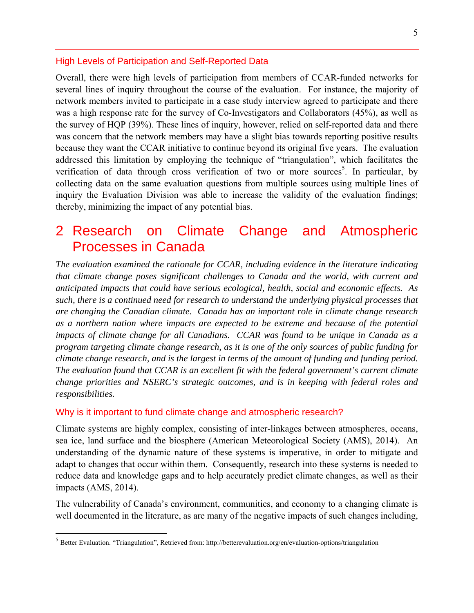#### High Levels of Participation and Self-Reported Data

Overall, there were high levels of participation from members of CCAR-funded networks for several lines of inquiry throughout the course of the evaluation. For instance, the majority of network members invited to participate in a case study interview agreed to participate and there was a high response rate for the survey of Co-Investigators and Collaborators (45%), as well as the survey of HQP (39%). These lines of inquiry, however, relied on self-reported data and there was concern that the network members may have a slight bias towards reporting positive results because they want the CCAR initiative to continue beyond its original five years. The evaluation addressed this limitation by employing the technique of "triangulation", which facilitates the verification of data through cross verification of two or more sources<sup>5</sup>. In particular, by collecting data on the same evaluation questions from multiple sources using multiple lines of inquiry the Evaluation Division was able to increase the validity of the evaluation findings; thereby, minimizing the impact of any potential bias.

### 2 Research on Climate Change and Atmospheric Processes in Canada

*The evaluation examined the rationale for CCAR, including evidence in the literature indicating that climate change poses significant challenges to Canada and the world, with current and anticipated impacts that could have serious ecological, health, social and economic effects. As such, there is a continued need for research to understand the underlying physical processes that are changing the Canadian climate. Canada has an important role in climate change research as a northern nation where impacts are expected to be extreme and because of the potential impacts of climate change for all Canadians. CCAR was found to be unique in Canada as a program targeting climate change research, as it is one of the only sources of public funding for climate change research, and is the largest in terms of the amount of funding and funding period. The evaluation found that CCAR is an excellent fit with the federal government's current climate change priorities and NSERC's strategic outcomes, and is in keeping with federal roles and responsibilities.* 

#### Why is it important to fund climate change and atmospheric research?

Climate systems are highly complex, consisting of inter-linkages between atmospheres, oceans, sea ice, land surface and the biosphere (American Meteorological Society (AMS), 2014). An understanding of the dynamic nature of these systems is imperative, in order to mitigate and adapt to changes that occur within them. Consequently, research into these systems is needed to reduce data and knowledge gaps and to help accurately predict climate changes, as well as their impacts (AMS, 2014).

The vulnerability of Canada's environment, communities, and economy to a changing climate is well documented in the literature, as are many of the negative impacts of such changes including,

 $<sup>5</sup>$  Better Evaluation. "Triangulation", Retrieved from: http://betterevaluation.org/en/evaluation-options/triangulation</sup>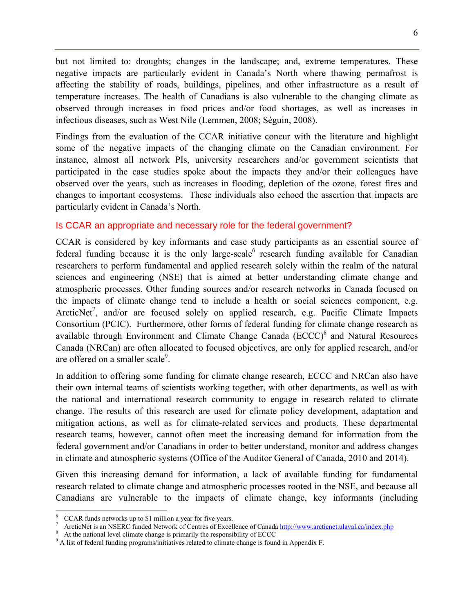but not limited to: droughts; changes in the landscape; and, extreme temperatures. These negative impacts are particularly evident in Canada's North where thawing permafrost is affecting the stability of roads, buildings, pipelines, and other infrastructure as a result of temperature increases. The health of Canadians is also vulnerable to the changing climate as observed through increases in food prices and/or food shortages, as well as increases in infectious diseases, such as West Nile (Lemmen, 2008; Séguin, 2008).

Findings from the evaluation of the CCAR initiative concur with the literature and highlight some of the negative impacts of the changing climate on the Canadian environment. For instance, almost all network PIs, university researchers and/or government scientists that participated in the case studies spoke about the impacts they and/or their colleagues have observed over the years, such as increases in flooding, depletion of the ozone, forest fires and changes to important ecosystems. These individuals also echoed the assertion that impacts are particularly evident in Canada's North.

### Is CCAR an appropriate and necessary role for the federal government?

CCAR is considered by key informants and case study participants as an essential source of federal funding because it is the only large-scale  $6$  research funding available for Canadian researchers to perform fundamental and applied research solely within the realm of the natural sciences and engineering (NSE) that is aimed at better understanding climate change and atmospheric processes. Other funding sources and/or research networks in Canada focused on the impacts of climate change tend to include a health or social sciences component, e.g. ArcticNet<sup>7</sup>, and/or are focused solely on applied research, e.g. Pacific Climate Impacts Consortium (PCIC). Furthermore, other forms of federal funding for climate change research as available through Environment and Climate Change Canada  $(ECCC)^8$  and Natural Resources Canada (NRCan) are often allocated to focused objectives, are only for applied research, and/or are offered on a smaller scale<sup>9</sup>.

In addition to offering some funding for climate change research, ECCC and NRCan also have their own internal teams of scientists working together, with other departments, as well as with the national and international research community to engage in research related to climate change. The results of this research are used for climate policy development, adaptation and mitigation actions, as well as for climate-related services and products. These departmental research teams, however, cannot often meet the increasing demand for information from the federal government and/or Canadians in order to better understand, monitor and address changes in climate and atmospheric systems (Office of the Auditor General of Canada, 2010 and 2014).

Given this increasing demand for information, a lack of available funding for fundamental research related to climate change and atmospheric processes rooted in the NSE, and because all Canadians are vulnerable to the impacts of climate change, key informants (including

<sup>6</sup> CCAR funds networks up to \$1 million a year for five years.

<sup>7</sup> ArcticNet is an NSERC funded Network of Centres of Excellence of Canada http://www.arcticnet.ulaval.ca/index.php

 $8$  At the national level climate change is primarily the responsibility of ECCC

<sup>&</sup>lt;sup>9</sup> A list of federal funding programs/initiatives related to climate change is found in Appendix F.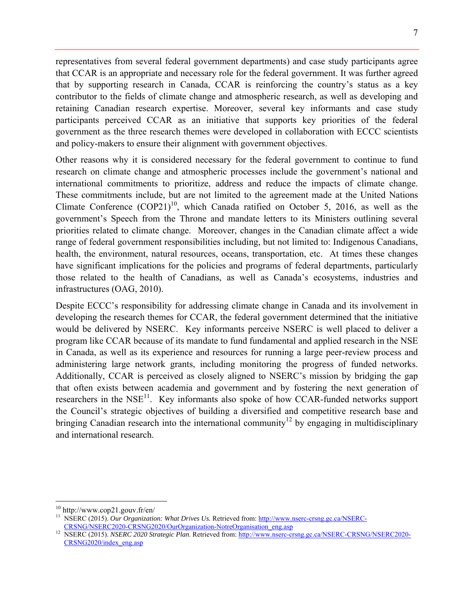representatives from several federal government departments) and case study participants agree that CCAR is an appropriate and necessary role for the federal government. It was further agreed that by supporting research in Canada, CCAR is reinforcing the country's status as a key contributor to the fields of climate change and atmospheric research, as well as developing and retaining Canadian research expertise. Moreover, several key informants and case study participants perceived CCAR as an initiative that supports key priorities of the federal government as the three research themes were developed in collaboration with ECCC scientists and policy-makers to ensure their alignment with government objectives.

Other reasons why it is considered necessary for the federal government to continue to fund research on climate change and atmospheric processes include the government's national and international commitments to prioritize, address and reduce the impacts of climate change. These commitments include, but are not limited to the agreement made at the United Nations Climate Conference  $(COP21)^{10}$ , which Canada ratified on October 5, 2016, as well as the government's Speech from the Throne and mandate letters to its Ministers outlining several priorities related to climate change. Moreover, changes in the Canadian climate affect a wide range of federal government responsibilities including, but not limited to: Indigenous Canadians, health, the environment, natural resources, oceans, transportation, etc. At times these changes have significant implications for the policies and programs of federal departments, particularly those related to the health of Canadians, as well as Canada's ecosystems, industries and infrastructures (OAG, 2010).

Despite ECCC's responsibility for addressing climate change in Canada and its involvement in developing the research themes for CCAR, the federal government determined that the initiative would be delivered by NSERC. Key informants perceive NSERC is well placed to deliver a program like CCAR because of its mandate to fund fundamental and applied research in the NSE in Canada, as well as its experience and resources for running a large peer-review process and administering large network grants, including monitoring the progress of funded networks. Additionally, CCAR is perceived as closely aligned to NSERC's mission by bridging the gap that often exists between academia and government and by fostering the next generation of researchers in the  $NSE<sup>11</sup>$ . Key informants also spoke of how CCAR-funded networks support the Council's strategic objectives of building a diversified and competitive research base and bringing Canadian research into the international community<sup>12</sup> by engaging in multidisciplinary and international research.

<sup>&</sup>lt;sup>10</sup> http://www.cop21.gouv.fr/en/<br><sup>11</sup> NSERC (2015). *Our Organization: What Drives Us.* Retrieved from: <u>http://www.nserc-crsng.gc.ca/NSERC-</u>

CRSNG/NSERC2020-CRSNG2020/OurOrganization-NotreOrganisation\_eng.asp 12 NSERC (2015). *NSERC 2020 Strategic Plan*. Retrieved from: http://www.nserc-crsng.gc.ca/NSERC-CRSNG/NSERC2020- CRSNG2020/index\_eng.asp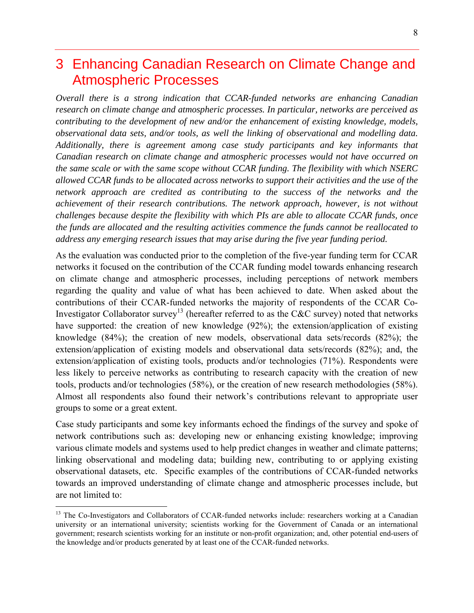# 3 Enhancing Canadian Research on Climate Change and Atmospheric Processes

*Overall there is a strong indication that CCAR-funded networks are enhancing Canadian research on climate change and atmospheric processes. In particular, networks are perceived as contributing to the development of new and/or the enhancement of existing knowledge, models, observational data sets, and/or tools, as well the linking of observational and modelling data. Additionally, there is agreement among case study participants and key informants that Canadian research on climate change and atmospheric processes would not have occurred on the same scale or with the same scope without CCAR funding. The flexibility with which NSERC allowed CCAR funds to be allocated across networks to support their activities and the use of the network approach are credited as contributing to the success of the networks and the achievement of their research contributions. The network approach, however, is not without challenges because despite the flexibility with which PIs are able to allocate CCAR funds, once the funds are allocated and the resulting activities commence the funds cannot be reallocated to address any emerging research issues that may arise during the five year funding period.* 

As the evaluation was conducted prior to the completion of the five-year funding term for CCAR networks it focused on the contribution of the CCAR funding model towards enhancing research on climate change and atmospheric processes, including perceptions of network members regarding the quality and value of what has been achieved to date. When asked about the contributions of their CCAR-funded networks the majority of respondents of the CCAR Co-Investigator Collaborator survey<sup>13</sup> (hereafter referred to as the C&C survey) noted that networks have supported: the creation of new knowledge (92%); the extension/application of existing knowledge (84%); the creation of new models, observational data sets/records (82%); the extension/application of existing models and observational data sets/records (82%); and, the extension/application of existing tools, products and/or technologies (71%). Respondents were less likely to perceive networks as contributing to research capacity with the creation of new tools, products and/or technologies (58%), or the creation of new research methodologies (58%). Almost all respondents also found their network's contributions relevant to appropriate user groups to some or a great extent.

Case study participants and some key informants echoed the findings of the survey and spoke of network contributions such as: developing new or enhancing existing knowledge; improving various climate models and systems used to help predict changes in weather and climate patterns; linking observational and modeling data; building new, contributing to or applying existing observational datasets, etc. Specific examples of the contributions of CCAR-funded networks towards an improved understanding of climate change and atmospheric processes include, but are not limited to:

<sup>&</sup>lt;sup>13</sup> The Co-Investigators and Collaborators of CCAR-funded networks include: researchers working at a Canadian university or an international university; scientists working for the Government of Canada or an international government; research scientists working for an institute or non-profit organization; and, other potential end-users of the knowledge and/or products generated by at least one of the CCAR-funded networks.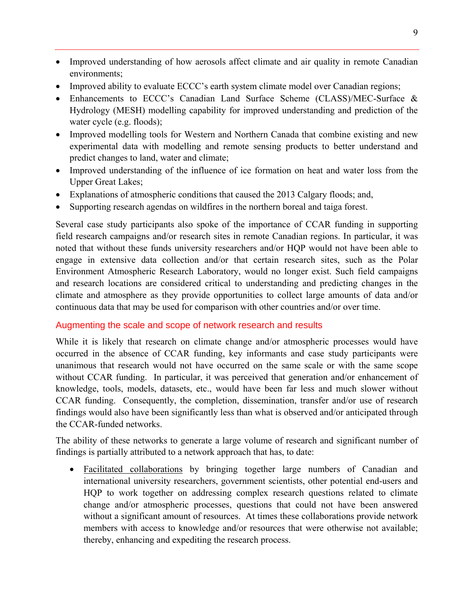- Improved understanding of how aerosols affect climate and air quality in remote Canadian environments;
- Improved ability to evaluate ECCC's earth system climate model over Canadian regions;
- Enhancements to ECCC's Canadian Land Surface Scheme (CLASS)/MEC-Surface & Hydrology (MESH) modelling capability for improved understanding and prediction of the water cycle (e.g. floods);
- Improved modelling tools for Western and Northern Canada that combine existing and new experimental data with modelling and remote sensing products to better understand and predict changes to land, water and climate;
- Improved understanding of the influence of ice formation on heat and water loss from the Upper Great Lakes;
- Explanations of atmospheric conditions that caused the 2013 Calgary floods; and,
- Supporting research agendas on wildfires in the northern boreal and taiga forest.

Several case study participants also spoke of the importance of CCAR funding in supporting field research campaigns and/or research sites in remote Canadian regions. In particular, it was noted that without these funds university researchers and/or HQP would not have been able to engage in extensive data collection and/or that certain research sites, such as the Polar Environment Atmospheric Research Laboratory, would no longer exist. Such field campaigns and research locations are considered critical to understanding and predicting changes in the climate and atmosphere as they provide opportunities to collect large amounts of data and/or continuous data that may be used for comparison with other countries and/or over time.

### Augmenting the scale and scope of network research and results

While it is likely that research on climate change and/or atmospheric processes would have occurred in the absence of CCAR funding, key informants and case study participants were unanimous that research would not have occurred on the same scale or with the same scope without CCAR funding. In particular, it was perceived that generation and/or enhancement of knowledge, tools, models, datasets, etc., would have been far less and much slower without CCAR funding. Consequently, the completion, dissemination, transfer and/or use of research findings would also have been significantly less than what is observed and/or anticipated through the CCAR-funded networks.

The ability of these networks to generate a large volume of research and significant number of findings is partially attributed to a network approach that has, to date:

 Facilitated collaborations by bringing together large numbers of Canadian and international university researchers, government scientists, other potential end-users and HQP to work together on addressing complex research questions related to climate change and/or atmospheric processes, questions that could not have been answered without a significant amount of resources. At times these collaborations provide network members with access to knowledge and/or resources that were otherwise not available; thereby, enhancing and expediting the research process.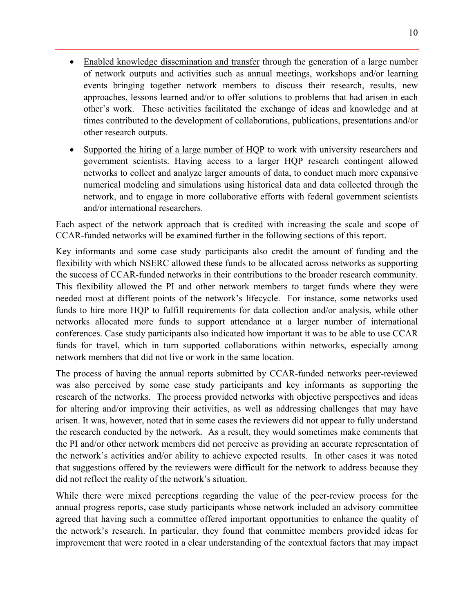- Enabled knowledge dissemination and transfer through the generation of a large number of network outputs and activities such as annual meetings, workshops and/or learning events bringing together network members to discuss their research, results, new approaches, lessons learned and/or to offer solutions to problems that had arisen in each other's work. These activities facilitated the exchange of ideas and knowledge and at times contributed to the development of collaborations, publications, presentations and/or other research outputs.
- Supported the hiring of a large number of HQP to work with university researchers and government scientists. Having access to a larger HQP research contingent allowed networks to collect and analyze larger amounts of data, to conduct much more expansive numerical modeling and simulations using historical data and data collected through the network, and to engage in more collaborative efforts with federal government scientists and/or international researchers.

Each aspect of the network approach that is credited with increasing the scale and scope of CCAR-funded networks will be examined further in the following sections of this report.

Key informants and some case study participants also credit the amount of funding and the flexibility with which NSERC allowed these funds to be allocated across networks as supporting the success of CCAR-funded networks in their contributions to the broader research community. This flexibility allowed the PI and other network members to target funds where they were needed most at different points of the network's lifecycle. For instance, some networks used funds to hire more HQP to fulfill requirements for data collection and/or analysis, while other networks allocated more funds to support attendance at a larger number of international conferences. Case study participants also indicated how important it was to be able to use CCAR funds for travel, which in turn supported collaborations within networks, especially among network members that did not live or work in the same location.

The process of having the annual reports submitted by CCAR-funded networks peer-reviewed was also perceived by some case study participants and key informants as supporting the research of the networks. The process provided networks with objective perspectives and ideas for altering and/or improving their activities, as well as addressing challenges that may have arisen. It was, however, noted that in some cases the reviewers did not appear to fully understand the research conducted by the network. As a result, they would sometimes make comments that the PI and/or other network members did not perceive as providing an accurate representation of the network's activities and/or ability to achieve expected results. In other cases it was noted that suggestions offered by the reviewers were difficult for the network to address because they did not reflect the reality of the network's situation.

While there were mixed perceptions regarding the value of the peer-review process for the annual progress reports, case study participants whose network included an advisory committee agreed that having such a committee offered important opportunities to enhance the quality of the network's research. In particular, they found that committee members provided ideas for improvement that were rooted in a clear understanding of the contextual factors that may impact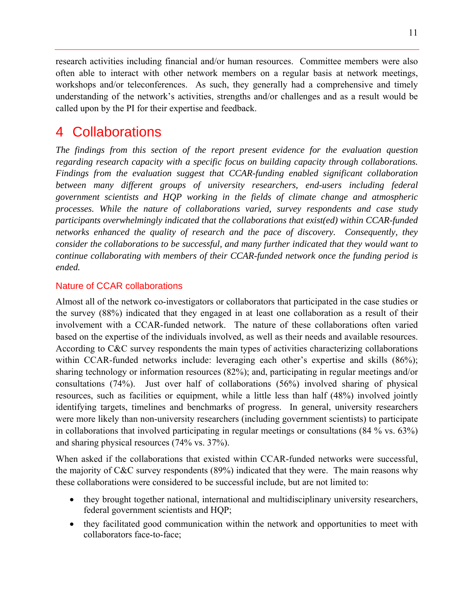research activities including financial and/or human resources. Committee members were also often able to interact with other network members on a regular basis at network meetings, workshops and/or teleconferences. As such, they generally had a comprehensive and timely understanding of the network's activities, strengths and/or challenges and as a result would be called upon by the PI for their expertise and feedback.

# 4 Collaborations

*The findings from this section of the report present evidence for the evaluation question regarding research capacity with a specific focus on building capacity through collaborations. Findings from the evaluation suggest that CCAR-funding enabled significant collaboration between many different groups of university researchers, end-users including federal government scientists and HQP working in the fields of climate change and atmospheric processes. While the nature of collaborations varied, survey respondents and case study participants overwhelmingly indicated that the collaborations that exist(ed) within CCAR-funded networks enhanced the quality of research and the pace of discovery. Consequently, they consider the collaborations to be successful, and many further indicated that they would want to continue collaborating with members of their CCAR-funded network once the funding period is ended.* 

### Nature of CCAR collaborations

Almost all of the network co-investigators or collaborators that participated in the case studies or the survey (88%) indicated that they engaged in at least one collaboration as a result of their involvement with a CCAR-funded network. The nature of these collaborations often varied based on the expertise of the individuals involved, as well as their needs and available resources. According to C&C survey respondents the main types of activities characterizing collaborations within CCAR-funded networks include: leveraging each other's expertise and skills (86%); sharing technology or information resources (82%); and, participating in regular meetings and/or consultations (74%). Just over half of collaborations (56%) involved sharing of physical resources, such as facilities or equipment, while a little less than half (48%) involved jointly identifying targets, timelines and benchmarks of progress. In general, university researchers were more likely than non-university researchers (including government scientists) to participate in collaborations that involved participating in regular meetings or consultations (84 % vs. 63%) and sharing physical resources (74% vs. 37%).

When asked if the collaborations that existed within CCAR-funded networks were successful, the majority of C&C survey respondents (89%) indicated that they were. The main reasons why these collaborations were considered to be successful include, but are not limited to:

- they brought together national, international and multidisciplinary university researchers, federal government scientists and HQP;
- they facilitated good communication within the network and opportunities to meet with collaborators face-to-face;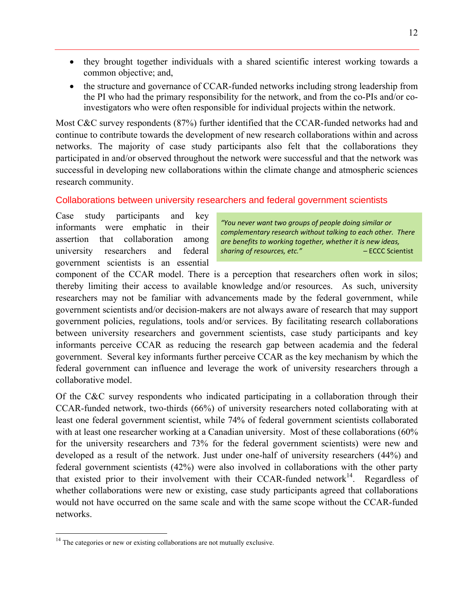- they brought together individuals with a shared scientific interest working towards a common objective; and,
- the structure and governance of CCAR-funded networks including strong leadership from the PI who had the primary responsibility for the network, and from the co-PIs and/or coinvestigators who were often responsible for individual projects within the network.

Most C&C survey respondents (87%) further identified that the CCAR-funded networks had and continue to contribute towards the development of new research collaborations within and across networks. The majority of case study participants also felt that the collaborations they participated in and/or observed throughout the network were successful and that the network was successful in developing new collaborations within the climate change and atmospheric sciences research community.

### Collaborations between university researchers and federal government scientists

Case study participants and key informants were emphatic in their assertion that collaboration among university researchers and federal government scientists is an essential

*"You never want two groups of people doing similar or complementary research without talking to each other. There are benefits to working together, whether it is new ideas, sharing of resources, etc." –* ECCC Scientist

component of the CCAR model. There is a perception that researchers often work in silos; thereby limiting their access to available knowledge and/or resources. As such, university researchers may not be familiar with advancements made by the federal government, while government scientists and/or decision-makers are not always aware of research that may support government policies, regulations, tools and/or services. By facilitating research collaborations between university researchers and government scientists, case study participants and key informants perceive CCAR as reducing the research gap between academia and the federal government. Several key informants further perceive CCAR as the key mechanism by which the federal government can influence and leverage the work of university researchers through a collaborative model.

Of the C&C survey respondents who indicated participating in a collaboration through their CCAR-funded network, two-thirds (66%) of university researchers noted collaborating with at least one federal government scientist, while 74% of federal government scientists collaborated with at least one researcher working at a Canadian university. Most of these collaborations (60%) for the university researchers and 73% for the federal government scientists) were new and developed as a result of the network. Just under one-half of university researchers (44%) and federal government scientists (42%) were also involved in collaborations with the other party that existed prior to their involvement with their CCAR-funded network<sup>14</sup>. Regardless of whether collaborations were new or existing, case study participants agreed that collaborations would not have occurred on the same scale and with the same scope without the CCAR-funded networks.

 $14$  The categories or new or existing collaborations are not mutually exclusive.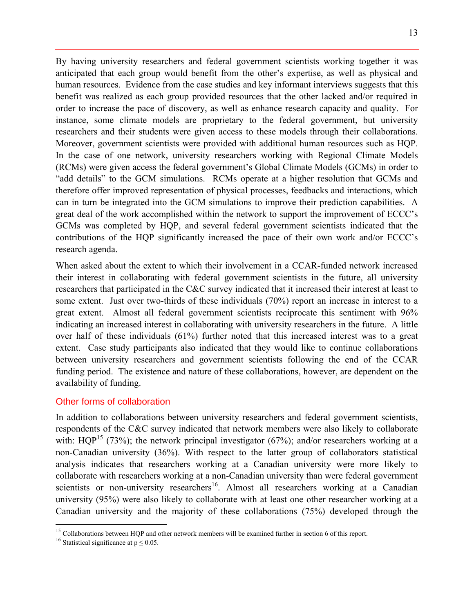By having university researchers and federal government scientists working together it was anticipated that each group would benefit from the other's expertise, as well as physical and human resources. Evidence from the case studies and key informant interviews suggests that this benefit was realized as each group provided resources that the other lacked and/or required in order to increase the pace of discovery, as well as enhance research capacity and quality. For instance, some climate models are proprietary to the federal government, but university researchers and their students were given access to these models through their collaborations. Moreover, government scientists were provided with additional human resources such as HQP. In the case of one network, university researchers working with Regional Climate Models (RCMs) were given access the federal government's Global Climate Models (GCMs) in order to "add details" to the GCM simulations. RCMs operate at a higher resolution that GCMs and therefore offer improved representation of physical processes, feedbacks and interactions, which can in turn be integrated into the GCM simulations to improve their prediction capabilities. A great deal of the work accomplished within the network to support the improvement of ECCC's GCMs was completed by HQP, and several federal government scientists indicated that the contributions of the HQP significantly increased the pace of their own work and/or ECCC's research agenda.

When asked about the extent to which their involvement in a CCAR-funded network increased their interest in collaborating with federal government scientists in the future, all university researchers that participated in the C&C survey indicated that it increased their interest at least to some extent. Just over two-thirds of these individuals (70%) report an increase in interest to a great extent. Almost all federal government scientists reciprocate this sentiment with 96% indicating an increased interest in collaborating with university researchers in the future. A little over half of these individuals (61%) further noted that this increased interest was to a great extent. Case study participants also indicated that they would like to continue collaborations between university researchers and government scientists following the end of the CCAR funding period. The existence and nature of these collaborations, however, are dependent on the availability of funding.

### Other forms of collaboration

In addition to collaborations between university researchers and federal government scientists, respondents of the C&C survey indicated that network members were also likely to collaborate with: HQP<sup>15</sup> (73%); the network principal investigator (67%); and/or researchers working at a non-Canadian university (36%). With respect to the latter group of collaborators statistical analysis indicates that researchers working at a Canadian university were more likely to collaborate with researchers working at a non-Canadian university than were federal government scientists or non-university researchers<sup>16</sup>. Almost all researchers working at a Canadian university (95%) were also likely to collaborate with at least one other researcher working at a Canadian university and the majority of these collaborations (75%) developed through the

<sup>&</sup>lt;sup>15</sup> Collaborations between HQP and other network members will be examined further in section 6 of this report. <sup>16</sup> Statistical significance at p ≤ 0.05.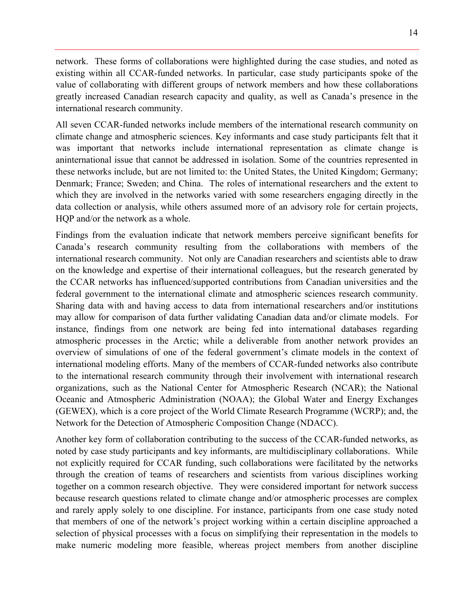network. These forms of collaborations were highlighted during the case studies, and noted as existing within all CCAR-funded networks. In particular, case study participants spoke of the value of collaborating with different groups of network members and how these collaborations greatly increased Canadian research capacity and quality, as well as Canada's presence in the international research community.

All seven CCAR-funded networks include members of the international research community on climate change and atmospheric sciences. Key informants and case study participants felt that it was important that networks include international representation as climate change is aninternational issue that cannot be addressed in isolation. Some of the countries represented in these networks include, but are not limited to: the United States, the United Kingdom; Germany; Denmark; France; Sweden; and China. The roles of international researchers and the extent to which they are involved in the networks varied with some researchers engaging directly in the data collection or analysis, while others assumed more of an advisory role for certain projects, HOP and/or the network as a whole.

Findings from the evaluation indicate that network members perceive significant benefits for Canada's research community resulting from the collaborations with members of the international research community. Not only are Canadian researchers and scientists able to draw on the knowledge and expertise of their international colleagues, but the research generated by the CCAR networks has influenced/supported contributions from Canadian universities and the federal government to the international climate and atmospheric sciences research community. Sharing data with and having access to data from international researchers and/or institutions may allow for comparison of data further validating Canadian data and/or climate models. For instance, findings from one network are being fed into international databases regarding atmospheric processes in the Arctic; while a deliverable from another network provides an overview of simulations of one of the federal government's climate models in the context of international modeling efforts. Many of the members of CCAR-funded networks also contribute to the international research community through their involvement with international research organizations, such as the National Center for Atmospheric Research (NCAR); the National Oceanic and Atmospheric Administration (NOAA); the Global Water and Energy Exchanges (GEWEX), which is a core project of the World Climate Research Programme (WCRP); and, the Network for the Detection of Atmospheric Composition Change (NDACC).

Another key form of collaboration contributing to the success of the CCAR-funded networks, as noted by case study participants and key informants, are multidisciplinary collaborations. While not explicitly required for CCAR funding, such collaborations were facilitated by the networks through the creation of teams of researchers and scientists from various disciplines working together on a common research objective. They were considered important for network success because research questions related to climate change and/or atmospheric processes are complex and rarely apply solely to one discipline. For instance, participants from one case study noted that members of one of the network's project working within a certain discipline approached a selection of physical processes with a focus on simplifying their representation in the models to make numeric modeling more feasible, whereas project members from another discipline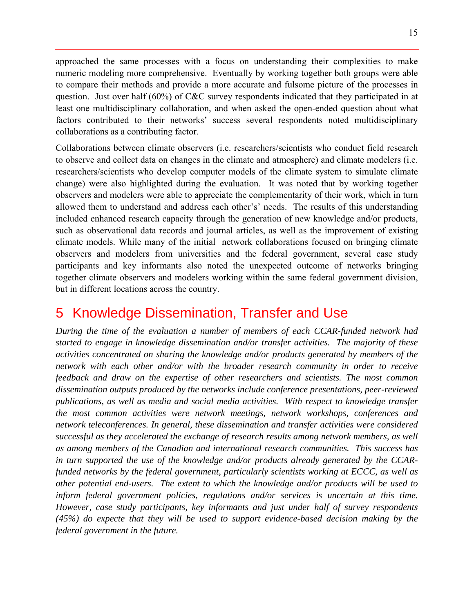approached the same processes with a focus on understanding their complexities to make numeric modeling more comprehensive. Eventually by working together both groups were able to compare their methods and provide a more accurate and fulsome picture of the processes in question. Just over half (60%) of C&C survey respondents indicated that they participated in at least one multidisciplinary collaboration, and when asked the open-ended question about what factors contributed to their networks' success several respondents noted multidisciplinary collaborations as a contributing factor.

Collaborations between climate observers (i.e. researchers/scientists who conduct field research to observe and collect data on changes in the climate and atmosphere) and climate modelers (i.e. researchers/scientists who develop computer models of the climate system to simulate climate change) were also highlighted during the evaluation. It was noted that by working together observers and modelers were able to appreciate the complementarity of their work, which in turn allowed them to understand and address each other's' needs. The results of this understanding included enhanced research capacity through the generation of new knowledge and/or products, such as observational data records and journal articles, as well as the improvement of existing climate models. While many of the initial network collaborations focused on bringing climate observers and modelers from universities and the federal government, several case study participants and key informants also noted the unexpected outcome of networks bringing together climate observers and modelers working within the same federal government division, but in different locations across the country.

# 5 Knowledge Dissemination, Transfer and Use

*During the time of the evaluation a number of members of each CCAR-funded network had started to engage in knowledge dissemination and/or transfer activities. The majority of these activities concentrated on sharing the knowledge and/or products generated by members of the network with each other and/or with the broader research community in order to receive feedback and draw on the expertise of other researchers and scientists. The most common dissemination outputs produced by the networks include conference presentations, peer-reviewed publications, as well as media and social media activities. With respect to knowledge transfer the most common activities were network meetings, network workshops, conferences and network teleconferences. In general, these dissemination and transfer activities were considered successful as they accelerated the exchange of research results among network members, as well as among members of the Canadian and international research communities. This success has in turn supported the use of the knowledge and/or products already generated by the CCARfunded networks by the federal government, particularly scientists working at ECCC, as well as other potential end-users. The extent to which the knowledge and/or products will be used to inform federal government policies, regulations and/or services is uncertain at this time. However, case study participants, key informants and just under half of survey respondents (45%) do expecte that they will be used to support evidence-based decision making by the federal government in the future.*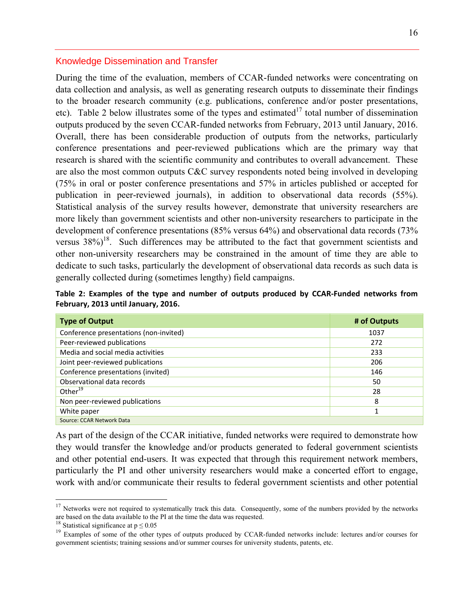#### Knowledge Dissemination and Transfer

During the time of the evaluation, members of CCAR-funded networks were concentrating on data collection and analysis, as well as generating research outputs to disseminate their findings to the broader research community (e.g. publications, conference and/or poster presentations, etc). Table 2 below illustrates some of the types and estimated<sup>17</sup> total number of dissemination outputs produced by the seven CCAR-funded networks from February, 2013 until January, 2016. Overall, there has been considerable production of outputs from the networks, particularly conference presentations and peer-reviewed publications which are the primary way that research is shared with the scientific community and contributes to overall advancement. These are also the most common outputs C&C survey respondents noted being involved in developing (75% in oral or poster conference presentations and 57% in articles published or accepted for publication in peer-reviewed journals), in addition to observational data records (55%). Statistical analysis of the survey results however, demonstrate that university researchers are more likely than government scientists and other non-university researchers to participate in the development of conference presentations (85% versus 64%) and observational data records (73% versus  $38\%$ <sup>18</sup>. Such differences may be attributed to the fact that government scientists and other non-university researchers may be constrained in the amount of time they are able to dedicate to such tasks, particularly the development of observational data records as such data is generally collected during (sometimes lengthy) field campaigns.

|  |                                     |  |  |  |  | Table 2: Examples of the type and number of outputs produced by CCAR-Funded networks from |  |
|--|-------------------------------------|--|--|--|--|-------------------------------------------------------------------------------------------|--|
|  | February, 2013 until January, 2016. |  |  |  |  |                                                                                           |  |

| <b>Type of Output</b>                  | # of Outputs |
|----------------------------------------|--------------|
| Conference presentations (non-invited) | 1037         |
| Peer-reviewed publications             | 272          |
| Media and social media activities      | 233          |
| Joint peer-reviewed publications       | 206          |
| Conference presentations (invited)     | 146          |
| Observational data records             | 50           |
| Other $^{19}$                          | 28           |
| Non peer-reviewed publications         | 8            |
| White paper                            | 1            |
| Source: CCAR Network Data              |              |

As part of the design of the CCAR initiative, funded networks were required to demonstrate how they would transfer the knowledge and/or products generated to federal government scientists and other potential end-users. It was expected that through this requirement network members, particularly the PI and other university researchers would make a concerted effort to engage, work with and/or communicate their results to federal government scientists and other potential

<sup>&</sup>lt;sup>17</sup> Networks were not required to systematically track this data. Consequently, some of the numbers provided by the networks are based on the data available to the PI at the time the data was requested.

<sup>&</sup>lt;sup>18</sup> Statistical significance at  $p \le 0.05$ 

<sup>&</sup>lt;sup>19</sup> Examples of some of the other types of outputs produced by CCAR-funded networks include: lectures and/or courses for government scientists; training sessions and/or summer courses for university students, patents, etc.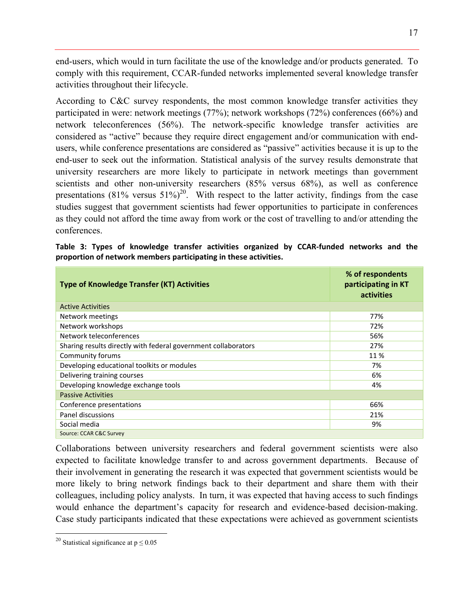end-users, which would in turn facilitate the use of the knowledge and/or products generated. To comply with this requirement, CCAR-funded networks implemented several knowledge transfer activities throughout their lifecycle.

According to C&C survey respondents, the most common knowledge transfer activities they participated in were: network meetings (77%); network workshops (72%) conferences (66%) and network teleconferences (56%). The network-specific knowledge transfer activities are considered as "active" because they require direct engagement and/or communication with endusers, while conference presentations are considered as "passive" activities because it is up to the end-user to seek out the information. Statistical analysis of the survey results demonstrate that university researchers are more likely to participate in network meetings than government scientists and other non-university researchers (85% versus 68%), as well as conference presentations (81% versus  $51\%$ )<sup>20</sup>. With respect to the latter activity, findings from the case studies suggest that government scientists had fewer opportunities to participate in conferences as they could not afford the time away from work or the cost of travelling to and/or attending the conferences.

|  |  |                                                                  |  |  | Table 3: Types of knowledge transfer activities organized by CCAR-funded networks and the |  |  |
|--|--|------------------------------------------------------------------|--|--|-------------------------------------------------------------------------------------------|--|--|
|  |  | proportion of network members participating in these activities. |  |  |                                                                                           |  |  |

| <b>Type of Knowledge Transfer (KT) Activities</b>              | % of respondents<br>participating in KT<br>activities |
|----------------------------------------------------------------|-------------------------------------------------------|
| <b>Active Activities</b>                                       |                                                       |
| Network meetings                                               | 77%                                                   |
| Network workshops                                              | 72%                                                   |
| Network teleconferences                                        | 56%                                                   |
| Sharing results directly with federal government collaborators | 27%                                                   |
| Community forums                                               | 11 %                                                  |
| Developing educational toolkits or modules                     | 7%                                                    |
| Delivering training courses                                    | 6%                                                    |
| Developing knowledge exchange tools                            | 4%                                                    |
| <b>Passive Activities</b>                                      |                                                       |
| Conference presentations                                       | 66%                                                   |
| Panel discussions                                              | 21%                                                   |
| Social media                                                   | 9%                                                    |
| Source: CCAR C&C Survey                                        |                                                       |

Collaborations between university researchers and federal government scientists were also expected to facilitate knowledge transfer to and across government departments. Because of their involvement in generating the research it was expected that government scientists would be more likely to bring network findings back to their department and share them with their colleagues, including policy analysts. In turn, it was expected that having access to such findings would enhance the department's capacity for research and evidence-based decision-making. Case study participants indicated that these expectations were achieved as government scientists

 $\overline{a}$ <sup>20</sup> Statistical significance at  $p \le 0.05$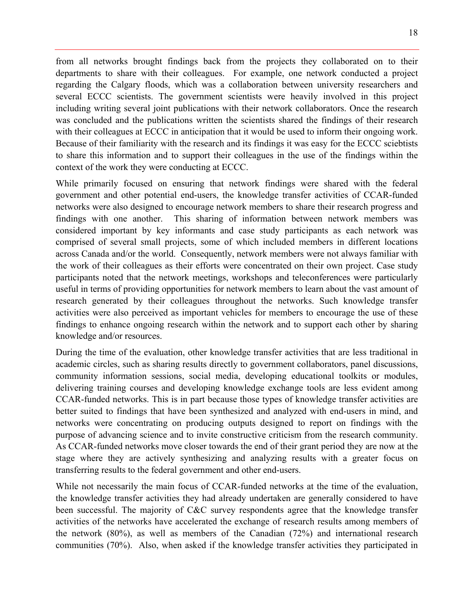from all networks brought findings back from the projects they collaborated on to their departments to share with their colleagues. For example, one network conducted a project regarding the Calgary floods, which was a collaboration between university researchers and several ECCC scientists. The government scientists were heavily involved in this project including writing several joint publications with their network collaborators. Once the research was concluded and the publications written the scientists shared the findings of their research with their colleagues at ECCC in anticipation that it would be used to inform their ongoing work. Because of their familiarity with the research and its findings it was easy for the ECCC sciebtists to share this information and to support their colleagues in the use of the findings within the context of the work they were conducting at ECCC.

While primarily focused on ensuring that network findings were shared with the federal government and other potential end-users, the knowledge transfer activities of CCAR-funded networks were also designed to encourage network members to share their research progress and findings with one another. This sharing of information between network members was considered important by key informants and case study participants as each network was comprised of several small projects, some of which included members in different locations across Canada and/or the world. Consequently, network members were not always familiar with the work of their colleagues as their efforts were concentrated on their own project. Case study participants noted that the network meetings, workshops and teleconferences were particularly useful in terms of providing opportunities for network members to learn about the vast amount of research generated by their colleagues throughout the networks. Such knowledge transfer activities were also perceived as important vehicles for members to encourage the use of these findings to enhance ongoing research within the network and to support each other by sharing knowledge and/or resources.

During the time of the evaluation, other knowledge transfer activities that are less traditional in academic circles, such as sharing results directly to government collaborators, panel discussions, community information sessions, social media, developing educational toolkits or modules, delivering training courses and developing knowledge exchange tools are less evident among CCAR-funded networks. This is in part because those types of knowledge transfer activities are better suited to findings that have been synthesized and analyzed with end-users in mind, and networks were concentrating on producing outputs designed to report on findings with the purpose of advancing science and to invite constructive criticism from the research community. As CCAR-funded networks move closer towards the end of their grant period they are now at the stage where they are actively synthesizing and analyzing results with a greater focus on transferring results to the federal government and other end-users.

While not necessarily the main focus of CCAR-funded networks at the time of the evaluation, the knowledge transfer activities they had already undertaken are generally considered to have been successful. The majority of C&C survey respondents agree that the knowledge transfer activities of the networks have accelerated the exchange of research results among members of the network (80%), as well as members of the Canadian (72%) and international research communities (70%). Also, when asked if the knowledge transfer activities they participated in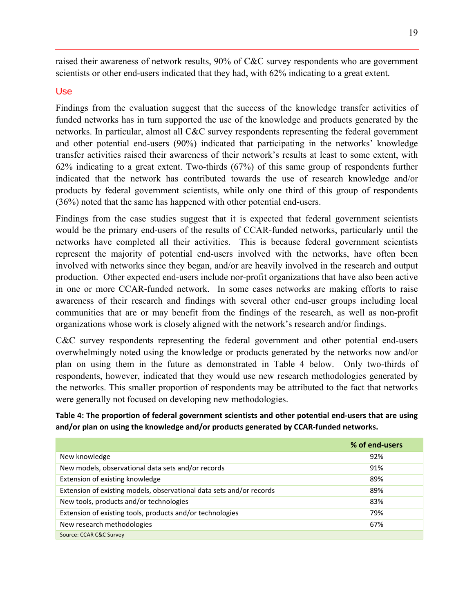raised their awareness of network results, 90% of C&C survey respondents who are government scientists or other end-users indicated that they had, with 62% indicating to a great extent.

### Use

Findings from the evaluation suggest that the success of the knowledge transfer activities of funded networks has in turn supported the use of the knowledge and products generated by the networks. In particular, almost all C&C survey respondents representing the federal government and other potential end-users (90%) indicated that participating in the networks' knowledge transfer activities raised their awareness of their network's results at least to some extent, with 62% indicating to a great extent. Two-thirds (67%) of this same group of respondents further indicated that the network has contributed towards the use of research knowledge and/or products by federal government scientists, while only one third of this group of respondents (36%) noted that the same has happened with other potential end-users.

Findings from the case studies suggest that it is expected that federal government scientists would be the primary end-users of the results of CCAR-funded networks, particularly until the networks have completed all their activities. This is because federal government scientists represent the majority of potential end-users involved with the networks, have often been involved with networks since they began, and/or are heavily involved in the research and output production. Other expected end-users include nor-profit organizations that have also been active in one or more CCAR-funded network. In some cases networks are making efforts to raise awareness of their research and findings with several other end-user groups including local communities that are or may benefit from the findings of the research, as well as non-profit organizations whose work is closely aligned with the network's research and/or findings.

C&C survey respondents representing the federal government and other potential end-users overwhelmingly noted using the knowledge or products generated by the networks now and/or plan on using them in the future as demonstrated in Table 4 below. Only two-thirds of respondents, however, indicated that they would use new research methodologies generated by the networks. This smaller proportion of respondents may be attributed to the fact that networks were generally not focused on developing new methodologies.

**Table 4: The proportion of federal government scientists and other potential end‐users that are using and/or plan on using the knowledge and/or products generated by CCAR‐funded networks.**

|                                                                      | % of end-users |
|----------------------------------------------------------------------|----------------|
| New knowledge                                                        | 92%            |
| New models, observational data sets and/or records                   | 91%            |
| Extension of existing knowledge                                      | 89%            |
| Extension of existing models, observational data sets and/or records | 89%            |
| New tools, products and/or technologies                              | 83%            |
| Extension of existing tools, products and/or technologies            | 79%            |
| New research methodologies                                           | 67%            |
| Source: CCAR C&C Survey                                              |                |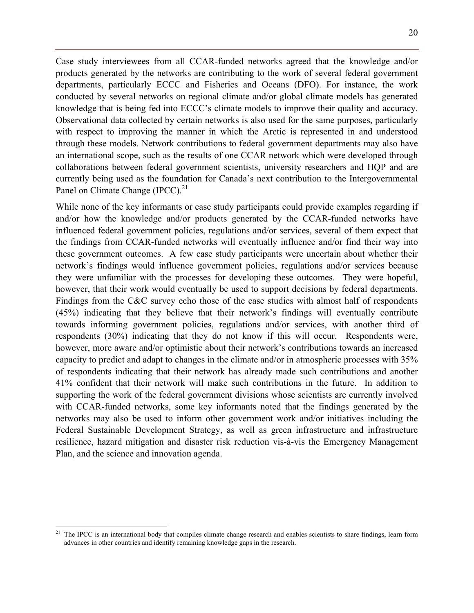Case study interviewees from all CCAR-funded networks agreed that the knowledge and/or products generated by the networks are contributing to the work of several federal government departments, particularly ECCC and Fisheries and Oceans (DFO). For instance, the work conducted by several networks on regional climate and/or global climate models has generated knowledge that is being fed into ECCC's climate models to improve their quality and accuracy. Observational data collected by certain networks is also used for the same purposes, particularly with respect to improving the manner in which the Arctic is represented in and understood through these models. Network contributions to federal government departments may also have an international scope, such as the results of one CCAR network which were developed through collaborations between federal government scientists, university researchers and HQP and are currently being used as the foundation for Canada's next contribution to the Intergovernmental Panel on Climate Change (IPCC).<sup>21</sup>

While none of the key informants or case study participants could provide examples regarding if and/or how the knowledge and/or products generated by the CCAR-funded networks have influenced federal government policies, regulations and/or services, several of them expect that the findings from CCAR-funded networks will eventually influence and/or find their way into these government outcomes. A few case study participants were uncertain about whether their network's findings would influence government policies, regulations and/or services because they were unfamiliar with the processes for developing these outcomes. They were hopeful, however, that their work would eventually be used to support decisions by federal departments. Findings from the C&C survey echo those of the case studies with almost half of respondents (45%) indicating that they believe that their network's findings will eventually contribute towards informing government policies, regulations and/or services, with another third of respondents (30%) indicating that they do not know if this will occur. Respondents were, however, more aware and/or optimistic about their network's contributions towards an increased capacity to predict and adapt to changes in the climate and/or in atmospheric processes with 35% of respondents indicating that their network has already made such contributions and another 41% confident that their network will make such contributions in the future. In addition to supporting the work of the federal government divisions whose scientists are currently involved with CCAR-funded networks, some key informants noted that the findings generated by the networks may also be used to inform other government work and/or initiatives including the Federal Sustainable Development Strategy, as well as green infrastructure and infrastructure resilience, hazard mitigation and disaster risk reduction vis-à-vis the Emergency Management Plan, and the science and innovation agenda.

1

<sup>&</sup>lt;sup>21</sup> The IPCC is an international body that compiles climate change research and enables scientists to share findings, learn form advances in other countries and identify remaining knowledge gaps in the research.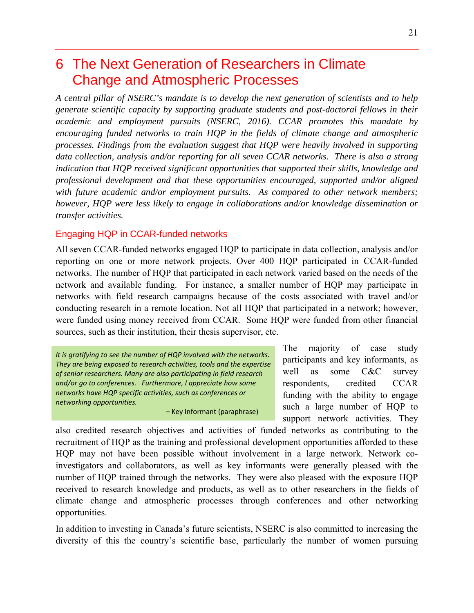# 6 The Next Generation of Researchers in Climate Change and Atmospheric Processes

*A central pillar of NSERC's mandate is to develop the next generation of scientists and to help generate scientific capacity by supporting graduate students and post-doctoral fellows in their academic and employment pursuits (NSERC, 2016). CCAR promotes this mandate by encouraging funded networks to train HQP in the fields of climate change and atmospheric processes. Findings from the evaluation suggest that HQP were heavily involved in supporting data collection, analysis and/or reporting for all seven CCAR networks. There is also a strong indication that HQP received significant opportunities that supported their skills, knowledge and professional development and that these opportunities encouraged, supported and/or aligned with future academic and/or employment pursuits. As compared to other network members; however, HQP were less likely to engage in collaborations and/or knowledge dissemination or transfer activities.* 

#### Engaging HQP in CCAR-funded networks

All seven CCAR-funded networks engaged HQP to participate in data collection, analysis and/or reporting on one or more network projects. Over 400 HQP participated in CCAR-funded networks. The number of HQP that participated in each network varied based on the needs of the network and available funding. For instance, a smaller number of HQP may participate in networks with field research campaigns because of the costs associated with travel and/or conducting research in a remote location. Not all HQP that participated in a network; however, were funded using money received from CCAR. Some HQP were funded from other financial sources, such as their institution, their thesis supervisor, etc.

*It is gratifying to see the number of HQP involved with the networks. They are being exposed to research activities, tools and the expertise of senior researchers. Many are also participating in field research and/or go to conferences. Furthermore, I appreciate how some networks have HQP specific activities, such as conferences or networking opportunities.* 

 *–* Key Informant (paraphrase)

The majority of case study participants and key informants, as well as some C&C survey respondents, credited CCAR funding with the ability to engage such a large number of HQP to support network activities. They

also credited research objectives and activities of funded networks as contributing to the recruitment of HQP as the training and professional development opportunities afforded to these HQP may not have been possible without involvement in a large network. Network coinvestigators and collaborators, as well as key informants were generally pleased with the number of HQP trained through the networks. They were also pleased with the exposure HQP received to research knowledge and products, as well as to other researchers in the fields of climate change and atmospheric processes through conferences and other networking opportunities.

In addition to investing in Canada's future scientists, NSERC is also committed to increasing the diversity of this the country's scientific base, particularly the number of women pursuing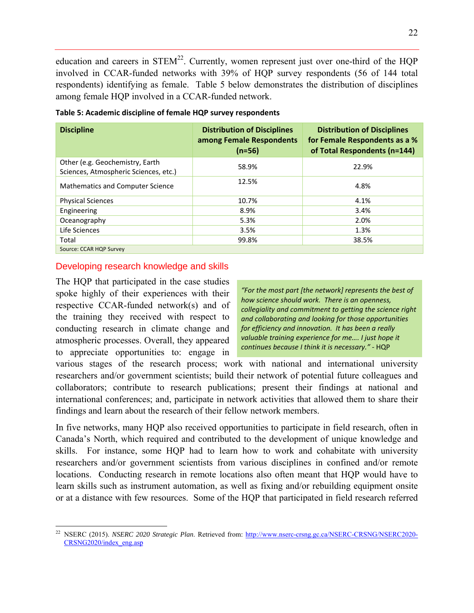education and careers in  $STEM^{22}$ . Currently, women represent just over one-third of the HQP involved in CCAR-funded networks with 39% of HQP survey respondents (56 of 144 total respondents) identifying as female. Table 5 below demonstrates the distribution of disciplines among female HQP involved in a CCAR-funded network.

| <b>Discipline</b>                                                        | <b>Distribution of Disciplines</b><br>among Female Respondents<br>$(n=56)$ | <b>Distribution of Disciplines</b><br>for Female Respondents as a %<br>of Total Respondents (n=144) |
|--------------------------------------------------------------------------|----------------------------------------------------------------------------|-----------------------------------------------------------------------------------------------------|
| Other (e.g. Geochemistry, Earth<br>Sciences, Atmospheric Sciences, etc.) | 58.9%                                                                      | 22.9%                                                                                               |
| <b>Mathematics and Computer Science</b>                                  | 12.5%                                                                      | 4.8%                                                                                                |
| <b>Physical Sciences</b>                                                 | 10.7%                                                                      | 4.1%                                                                                                |
| Engineering                                                              | 8.9%                                                                       | 3.4%                                                                                                |
| Oceanography                                                             | 5.3%                                                                       | 2.0%                                                                                                |
| Life Sciences                                                            | 3.5%                                                                       | 1.3%                                                                                                |
| Total                                                                    | 99.8%                                                                      | 38.5%                                                                                               |
| Source: CCAR HQP Survey                                                  |                                                                            |                                                                                                     |

**Table 5: Academic discipline of female HQP survey respondents**

#### Developing research knowledge and skills

The HQP that participated in the case studies spoke highly of their experiences with their respective CCAR-funded network(s) and of the training they received with respect to conducting research in climate change and atmospheric processes. Overall, they appeared to appreciate opportunities to: engage in

 $\overline{a}$ 

*"For the most part [the network] represents the best of how science should work. There is an openness, collegiality and commitment to getting the science right and collaborating and looking for those opportunities for efficiency and innovation. It has been a really valuable training experience for me…. I just hope it continues because I think it is necessary."* ‐ HQP

various stages of the research process; work with national and international university researchers and/or government scientists; build their network of potential future colleagues and collaborators; contribute to research publications; present their findings at national and international conferences; and, participate in network activities that allowed them to share their findings and learn about the research of their fellow network members.

In five networks, many HQP also received opportunities to participate in field research, often in Canada's North, which required and contributed to the development of unique knowledge and skills. For instance, some HQP had to learn how to work and cohabitate with university researchers and/or government scientists from various disciplines in confined and/or remote locations. Conducting research in remote locations also often meant that HQP would have to learn skills such as instrument automation, as well as fixing and/or rebuilding equipment onsite or at a distance with few resources. Some of the HQP that participated in field research referred

<sup>&</sup>lt;sup>22</sup> NSERC (2015). *NSERC 2020 Strategic Plan*. Retrieved from: http://www.nserc-crsng.gc.ca/NSERC-CRSNG/NSERC2020-CRSNG2020/index\_eng.asp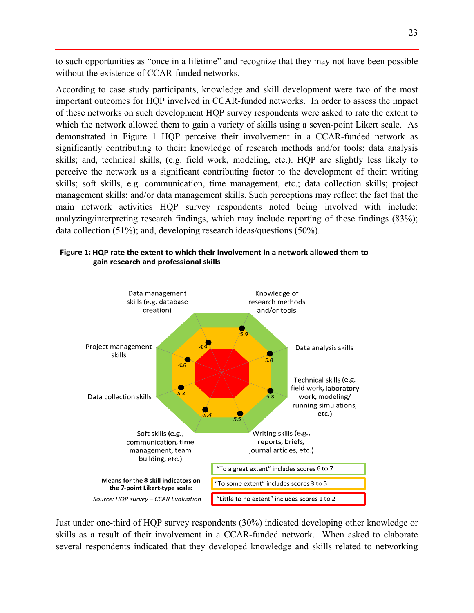to such opportunities as "once in a lifetime" and recognize that they may not have been possible without the existence of CCAR-funded networks.

According to case study participants, knowledge and skill development were two of the most important outcomes for HQP involved in CCAR-funded networks. In order to assess the impact of these networks on such development HQP survey respondents were asked to rate the extent to which the network allowed them to gain a variety of skills using a seven-point Likert scale. As demonstrated in Figure 1 HQP perceive their involvement in a CCAR-funded network as significantly contributing to their: knowledge of research methods and/or tools; data analysis skills; and, technical skills, (e.g. field work, modeling, etc.). HQP are slightly less likely to perceive the network as a significant contributing factor to the development of their: writing skills; soft skills, e.g. communication, time management, etc.; data collection skills; project management skills; and/or data management skills. Such perceptions may reflect the fact that the main network activities HQP survey respondents noted being involved with include: analyzing/interpreting research findings, which may include reporting of these findings (83%); data collection (51%); and, developing research ideas/questions (50%).



Figure 1: HQP rate the extent to which their involvement in a network allowed them to gain research and professional skills

Just under one-third of HQP survey respondents (30%) indicated developing other knowledge or skills as a result of their involvement in a CCAR-funded network. When asked to elaborate several respondents indicated that they developed knowledge and skills related to networking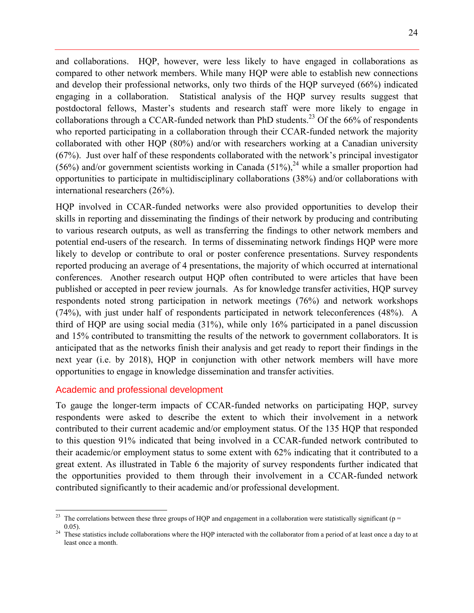and collaborations. HQP, however, were less likely to have engaged in collaborations as compared to other network members. While many HQP were able to establish new connections and develop their professional networks, only two thirds of the HQP surveyed (66%) indicated engaging in a collaboration. Statistical analysis of the HQP survey results suggest that postdoctoral fellows, Master's students and research staff were more likely to engage in collaborations through a CCAR-funded network than PhD students.<sup>23</sup> Of the 66% of respondents who reported participating in a collaboration through their CCAR-funded network the majority collaborated with other HQP (80%) and/or with researchers working at a Canadian university (67%). Just over half of these respondents collaborated with the network's principal investigator (56%) and/or government scientists working in Canada (51%),<sup>24</sup> while a smaller proportion had opportunities to participate in multidisciplinary collaborations (38%) and/or collaborations with international researchers (26%).

HQP involved in CCAR-funded networks were also provided opportunities to develop their skills in reporting and disseminating the findings of their network by producing and contributing to various research outputs, as well as transferring the findings to other network members and potential end-users of the research. In terms of disseminating network findings HQP were more likely to develop or contribute to oral or poster conference presentations. Survey respondents reported producing an average of 4 presentations, the majority of which occurred at international conferences. Another research output HQP often contributed to were articles that have been published or accepted in peer review journals. As for knowledge transfer activities, HQP survey respondents noted strong participation in network meetings (76%) and network workshops (74%), with just under half of respondents participated in network teleconferences (48%). A third of HQP are using social media (31%), while only 16% participated in a panel discussion and 15% contributed to transmitting the results of the network to government collaborators. It is anticipated that as the networks finish their analysis and get ready to report their findings in the next year (i.e. by 2018), HQP in conjunction with other network members will have more opportunities to engage in knowledge dissemination and transfer activities.

### Academic and professional development

To gauge the longer-term impacts of CCAR-funded networks on participating HQP, survey respondents were asked to describe the extent to which their involvement in a network contributed to their current academic and/or employment status. Of the 135 HQP that responded to this question 91% indicated that being involved in a CCAR-funded network contributed to their academic/or employment status to some extent with 62% indicating that it contributed to a great extent. As illustrated in Table 6 the majority of survey respondents further indicated that the opportunities provided to them through their involvement in a CCAR-funded network contributed significantly to their academic and/or professional development.

 $\overline{a}$ <sup>23</sup> The correlations between these three groups of HQP and engagement in a collaboration were statistically significant ( $p =$ 0.05).<br><sup>24</sup> These statistics include collaborations where the HQP interacted with the collaborator from a period of at least once a day to at

least once a month.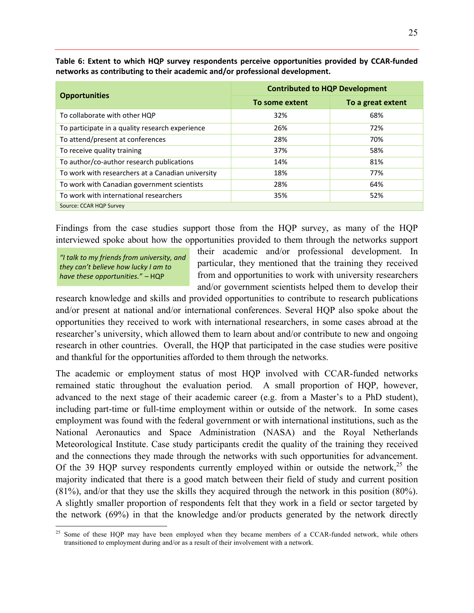|                                                   | <b>Contributed to HQP Development</b> |                   |  |  |  |  |  |
|---------------------------------------------------|---------------------------------------|-------------------|--|--|--|--|--|
| <b>Opportunities</b>                              | To some extent                        | To a great extent |  |  |  |  |  |
| To collaborate with other HQP                     | 32%                                   | 68%               |  |  |  |  |  |
| To participate in a quality research experience   | 26%                                   | 72%               |  |  |  |  |  |
| To attend/present at conferences                  | 28%                                   | 70%               |  |  |  |  |  |
| To receive quality training                       | 37%                                   | 58%               |  |  |  |  |  |
| To author/co-author research publications         | 14%                                   | 81%               |  |  |  |  |  |
| To work with researchers at a Canadian university | 18%                                   | 77%               |  |  |  |  |  |
| To work with Canadian government scientists       | 28%                                   | 64%               |  |  |  |  |  |
| To work with international researchers            | 35%                                   | 52%               |  |  |  |  |  |
| Source: CCAR HQP Survey                           |                                       |                   |  |  |  |  |  |

**Table 6: Extent to which HQP survey respondents perceive opportunities provided by CCAR‐funded networks as contributing to their academic and/or professional development.**

Findings from the case studies support those from the HQP survey, as many of the HQP interviewed spoke about how the opportunities provided to them through the networks support

*"I talk to my friends from university, and they can't believe how lucky I am to have these opportunities." –* HQP

 $\overline{a}$ 

their academic and/or professional development. In particular, they mentioned that the training they received from and opportunities to work with university researchers and/or government scientists helped them to develop their

research knowledge and skills and provided opportunities to contribute to research publications and/or present at national and/or international conferences. Several HQP also spoke about the opportunities they received to work with international researchers, in some cases abroad at the researcher's university, which allowed them to learn about and/or contribute to new and ongoing research in other countries. Overall, the HQP that participated in the case studies were positive and thankful for the opportunities afforded to them through the networks.

The academic or employment status of most HQP involved with CCAR-funded networks remained static throughout the evaluation period. A small proportion of HQP, however, advanced to the next stage of their academic career (e.g. from a Master's to a PhD student), including part-time or full-time employment within or outside of the network. In some cases employment was found with the federal government or with international institutions, such as the National Aeronautics and Space Administration (NASA) and the Royal Netherlands Meteorological Institute. Case study participants credit the quality of the training they received and the connections they made through the networks with such opportunities for advancement. Of the 39 HQP survey respondents currently employed within or outside the network,  $2^5$  the majority indicated that there is a good match between their field of study and current position (81%), and/or that they use the skills they acquired through the network in this position (80%). A slightly smaller proportion of respondents felt that they work in a field or sector targeted by the network (69%) in that the knowledge and/or products generated by the network directly

<sup>&</sup>lt;sup>25</sup> Some of these HQP may have been employed when they became members of a CCAR-funded network, while others transitioned to employment during and/or as a result of their involvement with a network.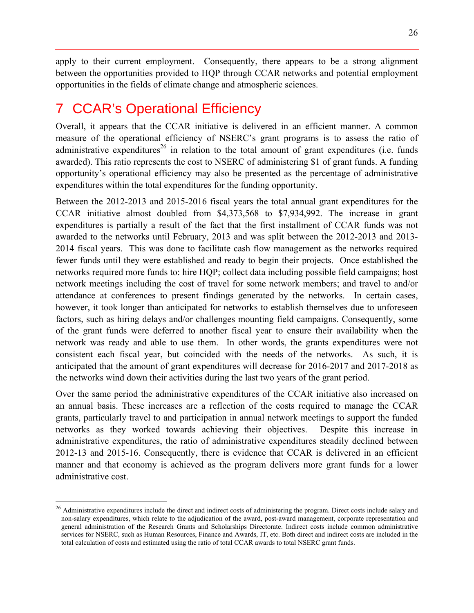apply to their current employment. Consequently, there appears to be a strong alignment between the opportunities provided to HQP through CCAR networks and potential employment opportunities in the fields of climate change and atmospheric sciences.

# 7 CCAR's Operational Efficiency

 $\overline{a}$ 

Overall, it appears that the CCAR initiative is delivered in an efficient manner. A common measure of the operational efficiency of NSERC's grant programs is to assess the ratio of administrative expenditures<sup>26</sup> in relation to the total amount of grant expenditures (i.e. funds awarded). This ratio represents the cost to NSERC of administering \$1 of grant funds. A funding opportunity's operational efficiency may also be presented as the percentage of administrative expenditures within the total expenditures for the funding opportunity.

Between the 2012-2013 and 2015-2016 fiscal years the total annual grant expenditures for the CCAR initiative almost doubled from \$4,373,568 to \$7,934,992. The increase in grant expenditures is partially a result of the fact that the first installment of CCAR funds was not awarded to the networks until February, 2013 and was split between the 2012-2013 and 2013- 2014 fiscal years. This was done to facilitate cash flow management as the networks required fewer funds until they were established and ready to begin their projects. Once established the networks required more funds to: hire HQP; collect data including possible field campaigns; host network meetings including the cost of travel for some network members; and travel to and/or attendance at conferences to present findings generated by the networks. In certain cases, however, it took longer than anticipated for networks to establish themselves due to unforeseen factors, such as hiring delays and/or challenges mounting field campaigns. Consequently, some of the grant funds were deferred to another fiscal year to ensure their availability when the network was ready and able to use them. In other words, the grants expenditures were not consistent each fiscal year, but coincided with the needs of the networks. As such, it is anticipated that the amount of grant expenditures will decrease for 2016-2017 and 2017-2018 as the networks wind down their activities during the last two years of the grant period.

Over the same period the administrative expenditures of the CCAR initiative also increased on an annual basis. These increases are a reflection of the costs required to manage the CCAR grants, particularly travel to and participation in annual network meetings to support the funded networks as they worked towards achieving their objectives. Despite this increase in administrative expenditures, the ratio of administrative expenditures steadily declined between 2012-13 and 2015-16. Consequently, there is evidence that CCAR is delivered in an efficient manner and that economy is achieved as the program delivers more grant funds for a lower administrative cost.

<sup>&</sup>lt;sup>26</sup> Administrative expenditures include the direct and indirect costs of administering the program. Direct costs include salary and non-salary expenditures, which relate to the adjudication of the award, post-award management, corporate representation and general administration of the Research Grants and Scholarships Directorate. Indirect costs include common administrative services for NSERC, such as Human Resources, Finance and Awards, IT, etc. Both direct and indirect costs are included in the total calculation of costs and estimated using the ratio of total CCAR awards to total NSERC grant funds.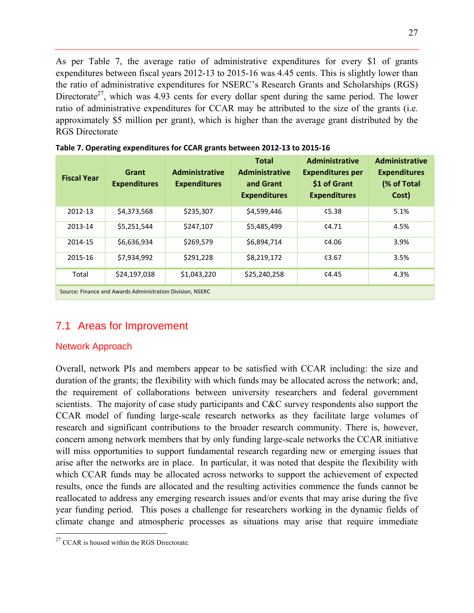As per Table 7, the average ratio of administrative expenditures for every \$1 of grants expenditures between fiscal years 2012-13 to 2015-16 was 4.45 cents. This is slightly lower than the ratio of administrative expenditures for NSERC's Research Grants and Scholarships (RGS) Directorate<sup>27</sup>, which was 4.93 cents for every dollar spent during the same period. The lower ratio of administrative expenditures for CCAR may be attributed to the size of the grants (i.e. approximately \$5 million per grant), which is higher than the average grant distributed by the RGS Directorate

| <b>Fiscal Year</b> | Grant<br><b>Expenditures</b>                              | <b>Administrative</b><br><b>Expenditures</b> | <b>Total</b><br><b>Administrative</b><br>and Grant<br><b>Expenditures</b> | <b>Administrative</b><br><b>Expenditures per</b><br>\$1 of Grant<br><b>Expenditures</b> | <b>Administrative</b><br><b>Expenditures</b><br>(% of Total<br>Cost) |
|--------------------|-----------------------------------------------------------|----------------------------------------------|---------------------------------------------------------------------------|-----------------------------------------------------------------------------------------|----------------------------------------------------------------------|
| 2012-13            | \$4,373,568                                               | \$235,307                                    | \$4,599,446                                                               | C5.38                                                                                   | 5.1%                                                                 |
| 2013-14            | \$5,251,544                                               | \$247.107                                    | \$5,485,499                                                               | C4.71                                                                                   | 4.5%                                                                 |
| 2014-15            | \$6,636,934                                               | \$269,579                                    | \$6,894,714                                                               | c4.06                                                                                   | 3.9%                                                                 |
| 2015-16            | \$7,934,992                                               | \$291,228                                    | \$8,219,172                                                               | c3.67                                                                                   | 3.5%                                                                 |
| Total              | \$24,197,038                                              | \$1,043,220                                  | \$25,240,258                                                              | C4.45                                                                                   | 4.3%                                                                 |
|                    | Source: Finance and Awards Administration Division, NSERC |                                              |                                                                           |                                                                                         |                                                                      |

**Table 7. Operating expenditures for CCAR grants between 2012‐13 to 2015‐16**

### 7.1 Areas for Improvement

### Network Approach

Overall, network PIs and members appear to be satisfied with CCAR including: the size and duration of the grants; the flexibility with which funds may be allocated across the network; and, the requirement of collaborations between university researchers and federal government scientists. The majority of case study participants and C&C survey respondents also support the CCAR model of funding large-scale research networks as they facilitate large volumes of research and significant contributions to the broader research community. There is, however, concern among network members that by only funding large-scale networks the CCAR initiative will miss opportunities to support fundamental research regarding new or emerging issues that arise after the networks are in place. In particular, it was noted that despite the flexibility with which CCAR funds may be allocated across networks to support the achievement of expected results, once the funds are allocated and the resulting activities commence the funds cannot be reallocated to address any emerging research issues and/or events that may arise during the five year funding period. This poses a challenge for researchers working in the dynamic fields of climate change and atmospheric processes as situations may arise that require immediate

 $27$  CCAR is housed within the RGS Directorate.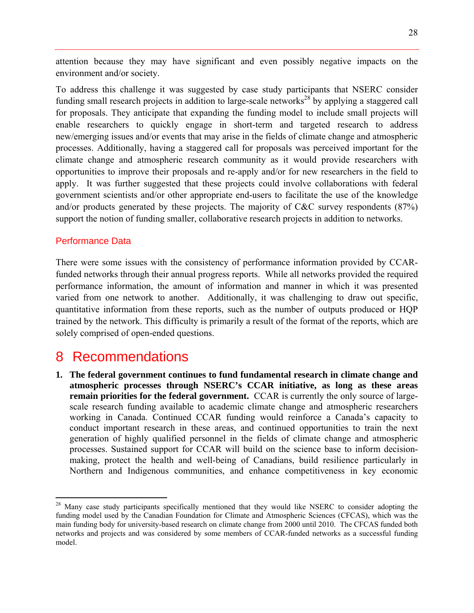attention because they may have significant and even possibly negative impacts on the environment and/or society.

To address this challenge it was suggested by case study participants that NSERC consider funding small research projects in addition to large-scale networks<sup>28</sup> by applying a staggered call for proposals. They anticipate that expanding the funding model to include small projects will enable researchers to quickly engage in short-term and targeted research to address new/emerging issues and/or events that may arise in the fields of climate change and atmospheric processes. Additionally, having a staggered call for proposals was perceived important for the climate change and atmospheric research community as it would provide researchers with opportunities to improve their proposals and re-apply and/or for new researchers in the field to apply. It was further suggested that these projects could involve collaborations with federal government scientists and/or other appropriate end-users to facilitate the use of the knowledge and/or products generated by these projects. The majority of C&C survey respondents (87%) support the notion of funding smaller, collaborative research projects in addition to networks.

### Performance Data

 $\overline{a}$ 

There were some issues with the consistency of performance information provided by CCARfunded networks through their annual progress reports. While all networks provided the required performance information, the amount of information and manner in which it was presented varied from one network to another. Additionally, it was challenging to draw out specific, quantitative information from these reports, such as the number of outputs produced or HQP trained by the network. This difficulty is primarily a result of the format of the reports, which are solely comprised of open-ended questions.

# 8 Recommendations

**1. The federal government continues to fund fundamental research in climate change and atmospheric processes through NSERC's CCAR initiative, as long as these areas remain priorities for the federal government.** CCAR is currently the only source of largescale research funding available to academic climate change and atmospheric researchers working in Canada. Continued CCAR funding would reinforce a Canada's capacity to conduct important research in these areas, and continued opportunities to train the next generation of highly qualified personnel in the fields of climate change and atmospheric processes. Sustained support for CCAR will build on the science base to inform decisionmaking, protect the health and well-being of Canadians, build resilience particularly in Northern and Indigenous communities, and enhance competitiveness in key economic

<sup>&</sup>lt;sup>28</sup> Many case study participants specifically mentioned that they would like NSERC to consider adopting the funding model used by the Canadian Foundation for Climate and Atmospheric Sciences (CFCAS), which was the main funding body for university-based research on climate change from 2000 until 2010. The CFCAS funded both networks and projects and was considered by some members of CCAR-funded networks as a successful funding model.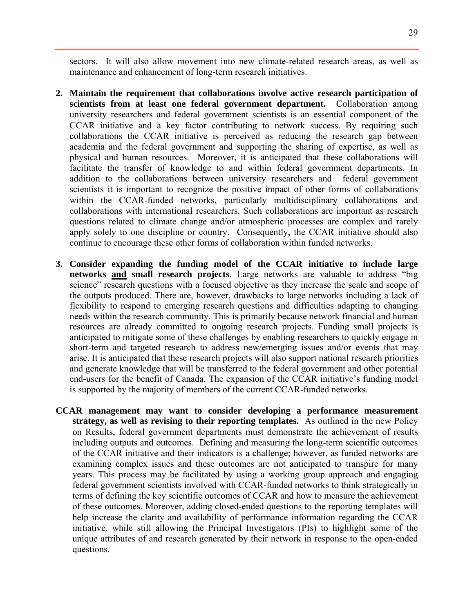sectors. It will also allow movement into new climate-related research areas, as well as maintenance and enhancement of long-term research initiatives.

- **2. Maintain the requirement that collaborations involve active research participation of scientists from at least one federal government department.** Collaboration among university researchers and federal government scientists is an essential component of the CCAR initiative and a key factor contributing to network success. By requiring such collaborations the CCAR initiative is perceived as reducing the research gap between academia and the federal government and supporting the sharing of expertise, as well as physical and human resources. Moreover, it is anticipated that these collaborations will facilitate the transfer of knowledge to and within federal government departments. In addition to the collaborations between university researchers and federal government scientists it is important to recognize the positive impact of other forms of collaborations within the CCAR-funded networks, particularly multidisciplinary collaborations and collaborations with international researchers. Such collaborations are important as research questions related to climate change and/or atmospheric processes are complex and rarely apply solely to one discipline or country. Consequently, the CCAR initiative should also continue to encourage these other forms of collaboration within funded networks.
- **3. Consider expanding the funding model of the CCAR initiative to include large networks and small research projects.** Large networks are valuable to address "big science" research questions with a focused objective as they increase the scale and scope of the outputs produced. There are, however, drawbacks to large networks including a lack of flexibility to respond to emerging research questions and difficulties adapting to changing needs within the research community. This is primarily because network financial and human resources are already committed to ongoing research projects. Funding small projects is anticipated to mitigate some of these challenges by enabling researchers to quickly engage in short-term and targeted research to address new/emerging issues and/or events that may arise. It is anticipated that these research projects will also support national research priorities and generate knowledge that will be transferred to the federal government and other potential end-users for the benefit of Canada. The expansion of the CCAR initiative's funding model is supported by the majority of members of the current CCAR-funded networks.
- **CCAR management may want to consider developing a performance measurement strategy, as well as revising to their reporting templates.** As outlined in the new Policy on Results, federal government departments must demonstrate the achievement of results including outputs and outcomes. Defining and measuring the long-term scientific outcomes of the CCAR initiative and their indicators is a challenge; however, as funded networks are examining complex issues and these outcomes are not anticipated to transpire for many years. This process may be facilitated by using a working group approach and engaging federal government scientists involved with CCAR-funded networks to think strategically in terms of defining the key scientific outcomes of CCAR and how to measure the achievement of these outcomes. Moreover, adding closed-ended questions to the reporting templates will help increase the clarity and availability of performance information regarding the CCAR initiative, while still allowing the Principal Investigators (PIs) to highlight some of the unique attributes of and research generated by their network in response to the open-ended questions.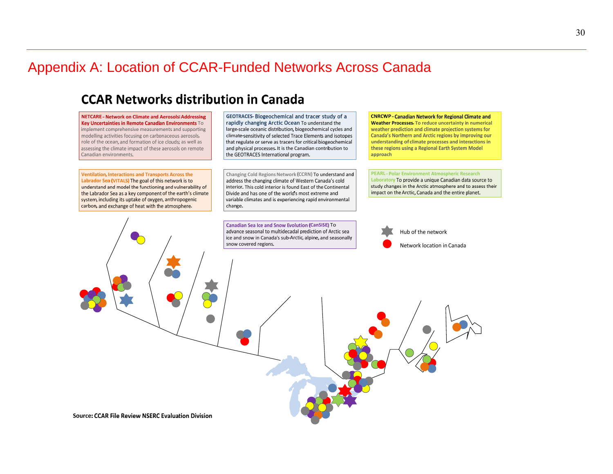# Appendix A: Location of CCAR-Funded Networks Across Canada

### **CCAR Networks distribution in Canada**

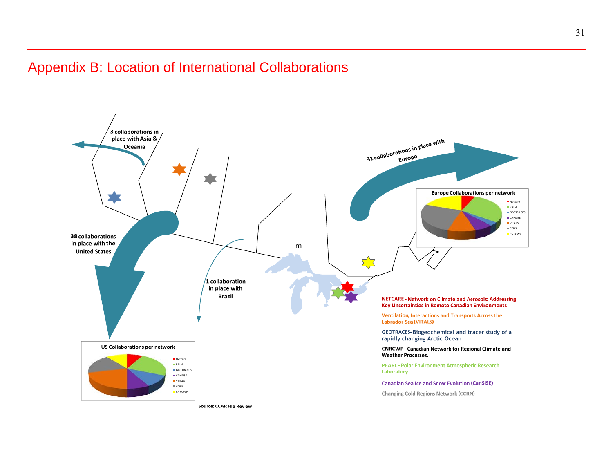# Appendix B: Location of International Collaborations

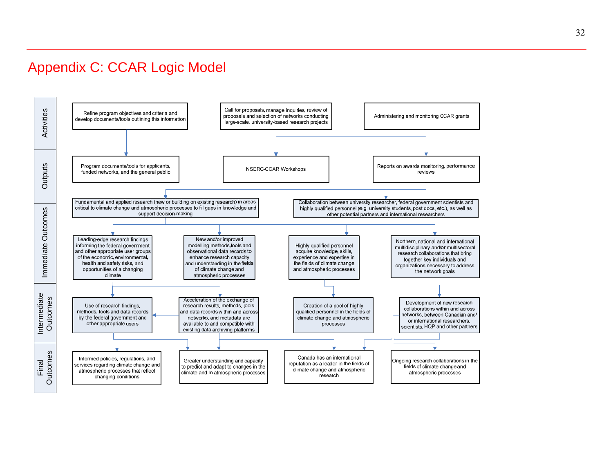# Appendix C: CCAR Logic Model

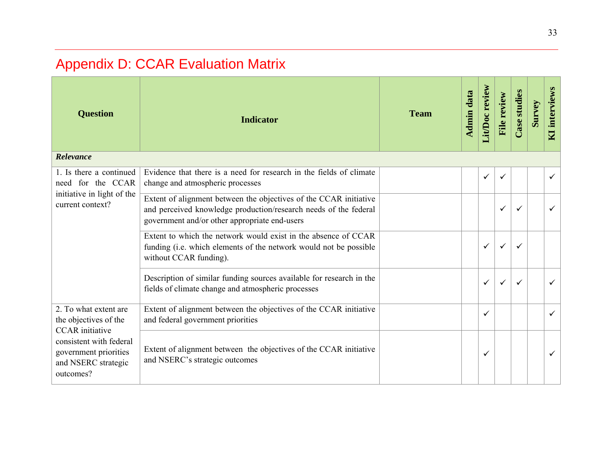# Appendix D: CCAR Evaluation Matrix

| <b>Question</b>                                                                                                | <b>Indicator</b>                                                                                                                                                                       | <b>Team</b> | Admin data | Lit/Doc review | File review  | Case studies | Survey | KI interviews |
|----------------------------------------------------------------------------------------------------------------|----------------------------------------------------------------------------------------------------------------------------------------------------------------------------------------|-------------|------------|----------------|--------------|--------------|--------|---------------|
| Relevance                                                                                                      |                                                                                                                                                                                        |             |            |                |              |              |        |               |
| 1. Is there a continued<br>need for the CCAR                                                                   | Evidence that there is a need for research in the fields of climate<br>change and atmospheric processes                                                                                |             |            | ✓              | ✓            |              |        | $\checkmark$  |
| initiative in light of the<br>current context?                                                                 | Extent of alignment between the objectives of the CCAR initiative<br>and perceived knowledge production/research needs of the federal<br>government and/or other appropriate end-users |             |            |                | ✓            |              |        | $\checkmark$  |
|                                                                                                                | Extent to which the network would exist in the absence of CCAR<br>funding (i.e. which elements of the network would not be possible<br>without CCAR funding).                          |             |            | ✓              | ✓            | ✓            |        |               |
|                                                                                                                | Description of similar funding sources available for research in the<br>fields of climate change and atmospheric processes                                                             |             |            | $\checkmark$   | $\checkmark$ | $\checkmark$ |        | $\checkmark$  |
| 2. To what extent are<br>the objectives of the                                                                 | Extent of alignment between the objectives of the CCAR initiative<br>and federal government priorities                                                                                 |             |            | $\checkmark$   |              |              |        | $\checkmark$  |
| <b>CCAR</b> initiative<br>consistent with federal<br>government priorities<br>and NSERC strategic<br>outcomes? | Extent of alignment between the objectives of the CCAR initiative<br>and NSERC's strategic outcomes                                                                                    |             |            | ✓              |              |              |        | $\checkmark$  |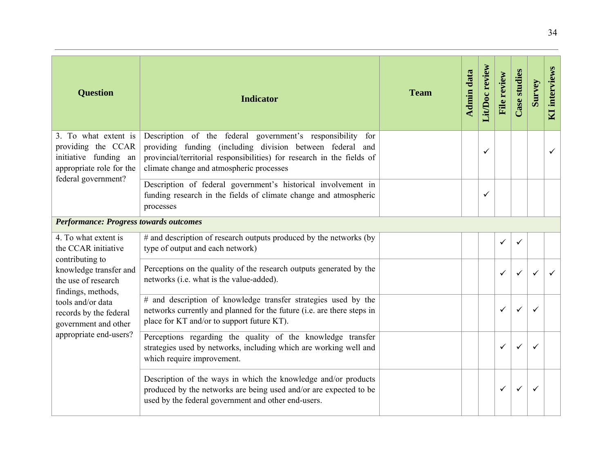| <b>Question</b>                                                                                 | <b>Indicator</b>                                                                                                                                                                                                                              | <b>Team</b> | <b>Admin data</b> | Lit/Doc review | File review  | Case studies | Survey       | <b>KI</b> interviews |
|-------------------------------------------------------------------------------------------------|-----------------------------------------------------------------------------------------------------------------------------------------------------------------------------------------------------------------------------------------------|-------------|-------------------|----------------|--------------|--------------|--------------|----------------------|
| 3. To what extent is<br>providing the CCAR<br>initiative funding an<br>appropriate role for the | Description of the federal government's responsibility for<br>providing funding (including division between federal and<br>provincial/territorial responsibilities) for research in the fields of<br>climate change and atmospheric processes |             |                   | $\checkmark$   |              |              |              |                      |
| federal government?                                                                             | Description of federal government's historical involvement in<br>funding research in the fields of climate change and atmospheric<br>processes                                                                                                |             |                   | $\checkmark$   |              |              |              |                      |
| <b>Performance: Progress towards outcomes</b>                                                   |                                                                                                                                                                                                                                               |             |                   |                |              |              |              |                      |
| 4. To what extent is<br>the CCAR initiative                                                     | # and description of research outputs produced by the networks (by<br>type of output and each network)                                                                                                                                        |             |                   |                | $\checkmark$ | $\checkmark$ |              |                      |
| contributing to<br>knowledge transfer and<br>the use of research<br>findings, methods,          | Perceptions on the quality of the research outputs generated by the<br>networks (i.e. what is the value-added).                                                                                                                               |             |                   |                | $\checkmark$ | $\checkmark$ | $\checkmark$ |                      |
| tools and/or data<br>records by the federal<br>government and other                             | # and description of knowledge transfer strategies used by the<br>networks currently and planned for the future (i.e. are there steps in<br>place for KT and/or to support future KT).                                                        |             |                   |                | ✓            | $\checkmark$ | ✓            |                      |
| appropriate end-users?                                                                          | Perceptions regarding the quality of the knowledge transfer<br>strategies used by networks, including which are working well and<br>which require improvement.                                                                                |             |                   |                | ✓            | $\checkmark$ | ✓            |                      |
|                                                                                                 | Description of the ways in which the knowledge and/or products<br>produced by the networks are being used and/or are expected to be<br>used by the federal government and other end-users.                                                    |             |                   |                | ✓            | $\checkmark$ | ✓            |                      |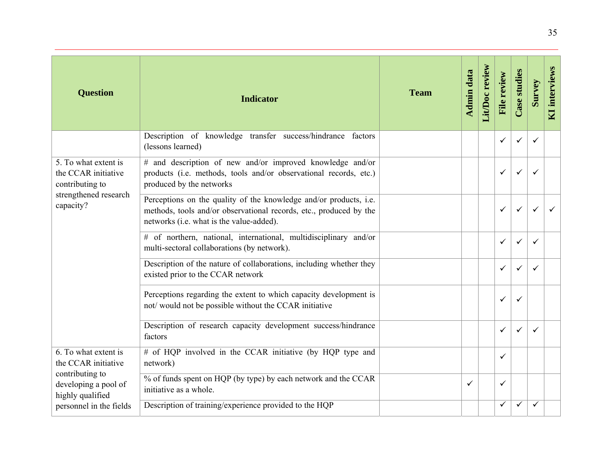| <b>Question</b>                                                | <b>Indicator</b>                                                                                                                                                                    | <b>Team</b> | <b>Admin data</b> | Lit/Doc review | File review  | Case studies | Survey       | KI interviews |
|----------------------------------------------------------------|-------------------------------------------------------------------------------------------------------------------------------------------------------------------------------------|-------------|-------------------|----------------|--------------|--------------|--------------|---------------|
|                                                                | Description of knowledge transfer success/hindrance factors<br>(lessons learned)                                                                                                    |             |                   |                | $\checkmark$ | ✓            | $\checkmark$ |               |
| 5. To what extent is<br>the CCAR initiative<br>contributing to | # and description of new and/or improved knowledge and/or<br>products (i.e. methods, tools and/or observational records, etc.)<br>produced by the networks                          |             |                   |                | $\checkmark$ | $\checkmark$ | ✓            |               |
| strengthened research<br>capacity?                             | Perceptions on the quality of the knowledge and/or products, i.e.<br>methods, tools and/or observational records, etc., produced by the<br>networks (i.e. what is the value-added). |             |                   |                | $\checkmark$ | ✓            | $\checkmark$ |               |
|                                                                | # of northern, national, international, multidisciplinary and/or<br>multi-sectoral collaborations (by network).                                                                     |             |                   |                | $\checkmark$ | $\checkmark$ | ✓            |               |
|                                                                | Description of the nature of collaborations, including whether they<br>existed prior to the CCAR network                                                                            |             |                   |                | $\checkmark$ | ✓            | ✓            |               |
|                                                                | Perceptions regarding the extent to which capacity development is<br>not/would not be possible without the CCAR initiative                                                          |             |                   |                | $\checkmark$ | $\checkmark$ |              |               |
|                                                                | Description of research capacity development success/hindrance<br>factors                                                                                                           |             |                   |                | $\checkmark$ | $\checkmark$ | ✓            |               |
| 6. To what extent is<br>the CCAR initiative                    | # of HQP involved in the CCAR initiative (by HQP type and<br>network)                                                                                                               |             |                   |                | $\checkmark$ |              |              |               |
| contributing to<br>developing a pool of<br>highly qualified    | % of funds spent on HQP (by type) by each network and the CCAR<br>initiative as a whole.                                                                                            |             | ✓                 |                | $\checkmark$ |              |              |               |
| personnel in the fields                                        | Description of training/experience provided to the HQP                                                                                                                              |             |                   |                | $\checkmark$ | ✓            | ✓            |               |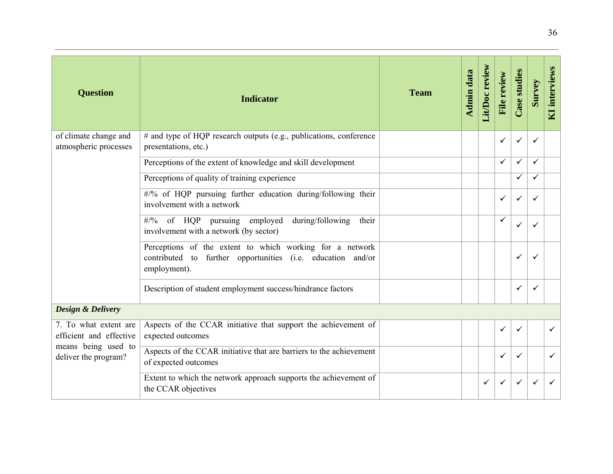| <b>Question</b>                                  | <b>Indicator</b>                                                                                                                        | <b>Team</b> | Admin data | Lit/Doc review | File review  | Case studies | Survey | <b>KI</b> interviews |
|--------------------------------------------------|-----------------------------------------------------------------------------------------------------------------------------------------|-------------|------------|----------------|--------------|--------------|--------|----------------------|
| of climate change and<br>atmospheric processes   | # and type of HQP research outputs (e.g., publications, conference<br>presentations, etc.)                                              |             |            |                | $\checkmark$ | $\checkmark$ | ✓      |                      |
|                                                  | Perceptions of the extent of knowledge and skill development                                                                            |             |            |                | $\checkmark$ | $\checkmark$ | ✓      |                      |
|                                                  | Perceptions of quality of training experience                                                                                           |             |            |                |              | ✓            | ✓      |                      |
|                                                  | #/% of HQP pursuing further education during/following their<br>involvement with a network                                              |             |            |                | $\checkmark$ | $\checkmark$ | ✓      |                      |
|                                                  | $\frac{\text{H}}{\text{9}}$ of HQP pursuing employed<br>during/following<br>their<br>involvement with a network (by sector)             |             |            |                | $\checkmark$ | ✓            | ✓      |                      |
|                                                  | Perceptions of the extent to which working for a network<br>contributed to further opportunities (i.e. education and/or<br>employment). |             |            |                |              | $\checkmark$ |        |                      |
|                                                  | Description of student employment success/hindrance factors                                                                             |             |            |                |              | ✓            |        |                      |
| <b>Design &amp; Delivery</b>                     |                                                                                                                                         |             |            |                |              |              |        |                      |
| 7. To what extent are<br>efficient and effective | Aspects of the CCAR initiative that support the achievement of<br>expected outcomes                                                     |             |            |                | $\checkmark$ | $\checkmark$ |        | $\checkmark$         |
| means being used to<br>deliver the program?      | Aspects of the CCAR initiative that are barriers to the achievement<br>of expected outcomes                                             |             |            |                | $\checkmark$ | $\checkmark$ |        | ✓                    |
|                                                  | Extent to which the network approach supports the achievement of<br>the CCAR objectives                                                 |             |            | ✓              | $\checkmark$ | $\checkmark$ |        |                      |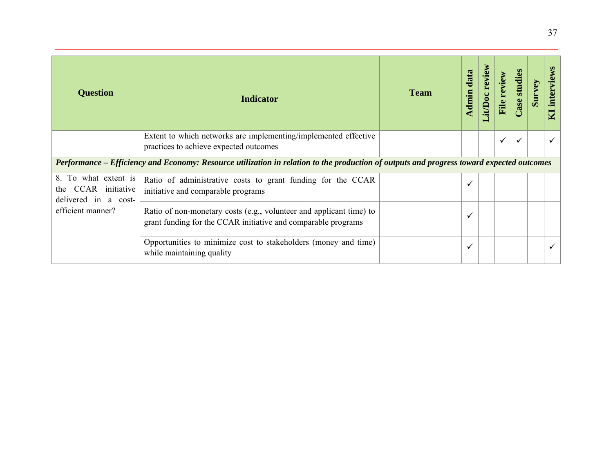| <b>Question</b>                                                        | <b>Indicator</b>                                                                                                                          | <b>Team</b> | data<br>Admin | Lit/Doc review | File review  | Case studies | Survey | interviews<br>$\overline{\mathbf{M}}$ |
|------------------------------------------------------------------------|-------------------------------------------------------------------------------------------------------------------------------------------|-------------|---------------|----------------|--------------|--------------|--------|---------------------------------------|
|                                                                        | Extent to which networks are implementing/implemented effective<br>practices to achieve expected outcomes                                 |             |               |                | $\checkmark$ | $\checkmark$ |        | $\checkmark$                          |
|                                                                        | Performance – Efficiency and Economy: Resource utilization in relation to the production of outputs and progress toward expected outcomes |             |               |                |              |              |        |                                       |
| 8. To what extent is<br>CCAR initiative<br>the<br>delivered in a cost- | Ratio of administrative costs to grant funding for the CCAR<br>initiative and comparable programs                                         |             | √             |                |              |              |        |                                       |
| efficient manner?                                                      | Ratio of non-monetary costs (e.g., volunteer and applicant time) to<br>grant funding for the CCAR initiative and comparable programs      |             | ✓             |                |              |              |        |                                       |
|                                                                        | Opportunities to minimize cost to stakeholders (money and time)<br>while maintaining quality                                              |             | ✓             |                |              |              |        | $\checkmark$                          |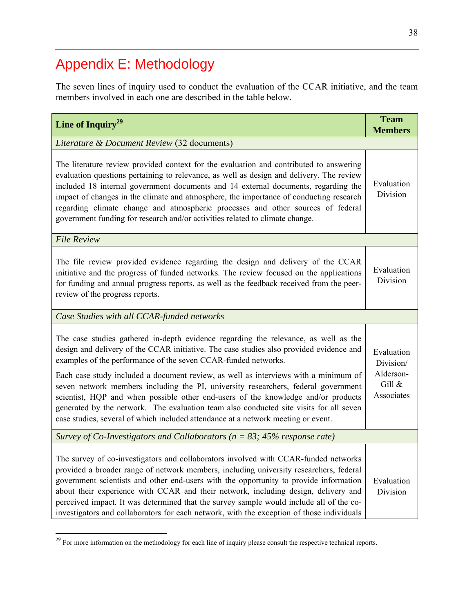# Appendix E: Methodology

The seven lines of inquiry used to conduct the evaluation of the CCAR initiative, and the team members involved in each one are described in the table below.

| Line of Inquiry <sup>29</sup>                                                                                                                                                                                                                                                                                                                                                                                                                                                                                                                                                                                                                                                                     | <b>Team</b><br><b>Members</b>                                   |
|---------------------------------------------------------------------------------------------------------------------------------------------------------------------------------------------------------------------------------------------------------------------------------------------------------------------------------------------------------------------------------------------------------------------------------------------------------------------------------------------------------------------------------------------------------------------------------------------------------------------------------------------------------------------------------------------------|-----------------------------------------------------------------|
| Literature & Document Review (32 documents)                                                                                                                                                                                                                                                                                                                                                                                                                                                                                                                                                                                                                                                       |                                                                 |
| The literature review provided context for the evaluation and contributed to answering<br>evaluation questions pertaining to relevance, as well as design and delivery. The review<br>included 18 internal government documents and 14 external documents, regarding the<br>impact of changes in the climate and atmosphere, the importance of conducting research<br>regarding climate change and atmospheric processes and other sources of federal<br>government funding for research and/or activities related to climate change.                                                                                                                                                             | Evaluation<br>Division                                          |
| <b>File Review</b>                                                                                                                                                                                                                                                                                                                                                                                                                                                                                                                                                                                                                                                                                |                                                                 |
| The file review provided evidence regarding the design and delivery of the CCAR<br>initiative and the progress of funded networks. The review focused on the applications<br>for funding and annual progress reports, as well as the feedback received from the peer-<br>review of the progress reports.                                                                                                                                                                                                                                                                                                                                                                                          | Evaluation<br>Division                                          |
| Case Studies with all CCAR-funded networks                                                                                                                                                                                                                                                                                                                                                                                                                                                                                                                                                                                                                                                        |                                                                 |
| The case studies gathered in-depth evidence regarding the relevance, as well as the<br>design and delivery of the CCAR initiative. The case studies also provided evidence and<br>examples of the performance of the seven CCAR-funded networks.<br>Each case study included a document review, as well as interviews with a minimum of<br>seven network members including the PI, university researchers, federal government<br>scientist, HQP and when possible other end-users of the knowledge and/or products<br>generated by the network. The evaluation team also conducted site visits for all seven<br>case studies, several of which included attendance at a network meeting or event. | Evaluation<br>Division/<br>Alderson-<br>Gill $\&$<br>Associates |
| Survey of Co-Investigators and Collaborators ( $n = 83$ ; 45% response rate)                                                                                                                                                                                                                                                                                                                                                                                                                                                                                                                                                                                                                      |                                                                 |
| The survey of co-investigators and collaborators involved with CCAR-funded networks<br>provided a broader range of network members, including university researchers, federal<br>government scientists and other end-users with the opportunity to provide information<br>about their experience with CCAR and their network, including design, delivery and<br>perceived impact. It was determined that the survey sample would include all of the co-<br>investigators and collaborators for each network, with the exception of those individuals                                                                                                                                              | Evaluation<br>Division                                          |

 $\overline{a}$  $^{29}$  For more information on the methodology for each line of inquiry please consult the respective technical reports.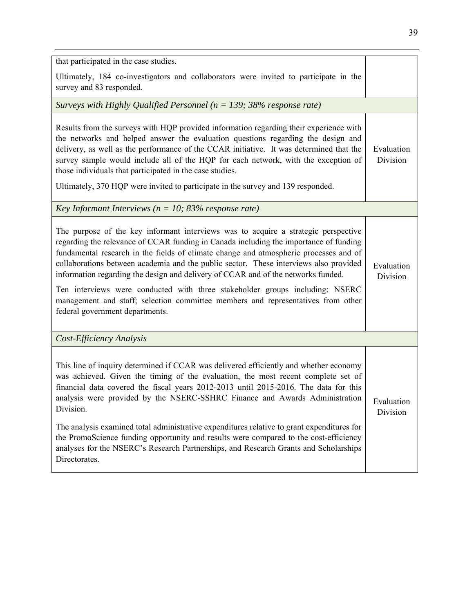| that participated in the case studies.                                                                                                                                                                                                                                                                                                                                                                                                                                                                                                                                                                                                                         |                        |
|----------------------------------------------------------------------------------------------------------------------------------------------------------------------------------------------------------------------------------------------------------------------------------------------------------------------------------------------------------------------------------------------------------------------------------------------------------------------------------------------------------------------------------------------------------------------------------------------------------------------------------------------------------------|------------------------|
| Ultimately, 184 co-investigators and collaborators were invited to participate in the<br>survey and 83 responded.                                                                                                                                                                                                                                                                                                                                                                                                                                                                                                                                              |                        |
| Surveys with Highly Qualified Personnel ( $n = 139$ ; 38% response rate)                                                                                                                                                                                                                                                                                                                                                                                                                                                                                                                                                                                       |                        |
| Results from the surveys with HQP provided information regarding their experience with<br>the networks and helped answer the evaluation questions regarding the design and<br>delivery, as well as the performance of the CCAR initiative. It was determined that the<br>survey sample would include all of the HQP for each network, with the exception of<br>those individuals that participated in the case studies.<br>Ultimately, 370 HQP were invited to participate in the survey and 139 responded.                                                                                                                                                    | Evaluation<br>Division |
| Key Informant Interviews ( $n = 10$ ; 83% response rate)                                                                                                                                                                                                                                                                                                                                                                                                                                                                                                                                                                                                       |                        |
| The purpose of the key informant interviews was to acquire a strategic perspective<br>regarding the relevance of CCAR funding in Canada including the importance of funding<br>fundamental research in the fields of climate change and atmospheric processes and of<br>collaborations between academia and the public sector. These interviews also provided<br>information regarding the design and delivery of CCAR and of the networks funded.<br>Ten interviews were conducted with three stakeholder groups including: NSERC<br>management and staff; selection committee members and representatives from other<br>federal government departments.      | Evaluation<br>Division |
| Cost-Efficiency Analysis                                                                                                                                                                                                                                                                                                                                                                                                                                                                                                                                                                                                                                       |                        |
| This line of inquiry determined if CCAR was delivered efficiently and whether economy<br>was achieved. Given the timing of the evaluation, the most recent complete set of<br>financial data covered the fiscal years 2012-2013 until 2015-2016. The data for this<br>analysis were provided by the NSERC-SSHRC Finance and Awards Administration<br>Division.<br>The analysis examined total administrative expenditures relative to grant expenditures for<br>the PromoScience funding opportunity and results were compared to the cost-efficiency<br>analyses for the NSERC's Research Partnerships, and Research Grants and Scholarships<br>Directorates. | Evaluation<br>Division |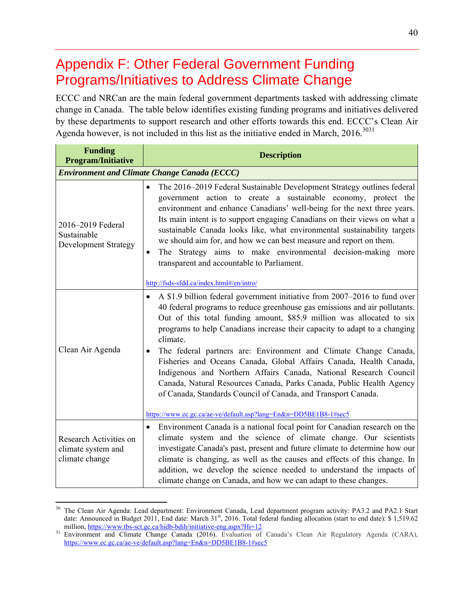# Appendix F: Other Federal Government Funding Programs/Initiatives to Address Climate Change

ECCC and NRCan are the main federal government departments tasked with addressing climate change in Canada. The table below identifies existing funding programs and initiatives delivered by these departments to support research and other efforts towards this end. ECCC's Clean Air Agenda however, is not included in this list as the initiative ended in March,  $2016$ .<sup>3031</sup>

| <b>Funding</b><br><b>Program/Initiative</b>                     | <b>Description</b>                                                                                                                                                                                                                                                                                                                                                                                                                                                                                                                                                                                                                                                                             |  |  |  |  |  |
|-----------------------------------------------------------------|------------------------------------------------------------------------------------------------------------------------------------------------------------------------------------------------------------------------------------------------------------------------------------------------------------------------------------------------------------------------------------------------------------------------------------------------------------------------------------------------------------------------------------------------------------------------------------------------------------------------------------------------------------------------------------------------|--|--|--|--|--|
| <b>Environment and Climate Change Canada (ECCC)</b>             |                                                                                                                                                                                                                                                                                                                                                                                                                                                                                                                                                                                                                                                                                                |  |  |  |  |  |
| 2016-2019 Federal<br>Sustainable<br><b>Development Strategy</b> | The 2016–2019 Federal Sustainable Development Strategy outlines federal<br>government action to create a sustainable economy, protect the<br>environment and enhance Canadians' well-being for the next three years.<br>Its main intent is to support engaging Canadians on their views on what a<br>sustainable Canada looks like, what environmental sustainability targets<br>we should aim for, and how we can best measure and report on them.<br>The Strategy aims to make environmental decision-making more<br>٠<br>transparent and accountable to Parliament.<br>http://fsds-sfdd.ca/index.html#/en/intro/                                                                            |  |  |  |  |  |
| Clean Air Agenda                                                | A \$1.9 billion federal government initiative from 2007–2016 to fund over<br>$\bullet$<br>40 federal programs to reduce greenhouse gas emissions and air pollutants.<br>Out of this total funding amount, \$85.9 million was allocated to six<br>programs to help Canadians increase their capacity to adapt to a changing<br>climate.<br>The federal partners are: Environment and Climate Change Canada,<br>Fisheries and Oceans Canada, Global Affairs Canada, Health Canada,<br>Indigenous and Northern Affairs Canada, National Research Council<br>Canada, Natural Resources Canada, Parks Canada, Public Health Agency<br>of Canada, Standards Council of Canada, and Transport Canada. |  |  |  |  |  |
| Research Activities on<br>climate system and<br>climate change  | https://www.ec.gc.ca/ae-ve/default.asp?lang=En&n=DD5BE1B8-1#sec5<br>Environment Canada is a national focal point for Canadian research on the<br>$\bullet$<br>climate system and the science of climate change. Our scientists<br>investigate Canada's past, present and future climate to determine how our<br>climate is changing, as well as the causes and effects of this change. In<br>addition, we develop the science needed to understand the impacts of<br>climate change on Canada, and how we can adapt to these changes.                                                                                                                                                          |  |  |  |  |  |

 $30\,$ 30 The Clean Air Agenda: Lead department: Environment Canada, Lead department program activity: PA3.2 and PA2.1 Start date: Announced in Budget 2011, End date: March 31<sup>st</sup>, 2016. Total federal funding allocation (start to end date): \$ 1,519.62

million, https://www.tbs-sct.gc.ca/hidb-bdih/initiative-eng.aspx?Hi=12<br><sup>31</sup> Environment and Climate Change Canada (2016). Evaluation of Canada's Clean Air Regulatory Agenda (CARA), https://www.ec.gc.ca/ae-ve/default.asp?lang=En&n=DD5BE1B8-1#sec5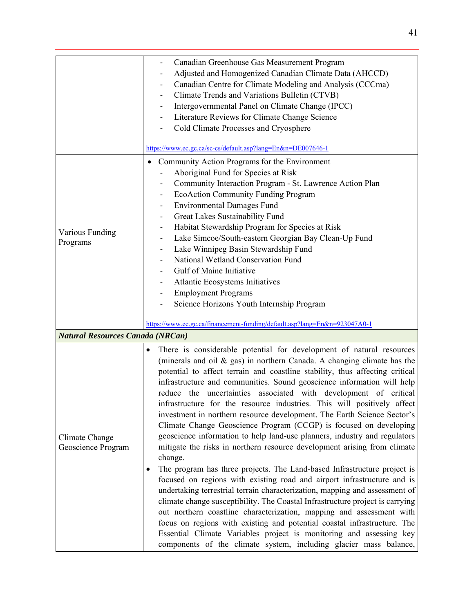|                              | Canadian Greenhouse Gas Measurement Program                 |
|------------------------------|-------------------------------------------------------------|
|                              | Adjusted and Homogenized Canadian Climate Data (AHCCD)      |
| -                            | Canadian Centre for Climate Modeling and Analysis (CCCma)   |
|                              | Climate Trends and Variations Bulletin (CTVB)               |
|                              | Intergovernmental Panel on Climate Change (IPCC)            |
| $\overline{\phantom{0}}$     | Literature Reviews for Climate Change Science               |
| -                            | Cold Climate Processes and Cryosphere                       |
|                              |                                                             |
|                              | https://www.ec.gc.ca/sc-cs/default.asp?lang=En&n=DE007646-1 |
|                              | Community Action Programs for the Environment               |
|                              | Aboriginal Fund for Species at Risk                         |
| -                            | Community Interaction Program - St. Lawrence Action Plan    |
| $\qquad \qquad \blacksquare$ | <b>EcoAction Community Funding Program</b>                  |
|                              | <b>Environmental Damages Fund</b>                           |
|                              | Great Lakes Sustainability Fund                             |
|                              | Holaitet Charmondalain Dua anam fan Guaeaige at Diale       |

- Various Funding Programs ‐ Habitat Stewardship Program for Species at Risk ‐ Lake Simcoe/South-eastern Georgian Bay Clean-Up Fund ‐ Lake Winnipeg Basin Stewardship Fund ‐ National Wetland Conservation Fund
	- ‐ Gulf of Maine Initiative ‐ Atlantic Ecosystems Initiatives ‐ Employment Programs ‐ Science Horizons Youth Internship Program https://www.ec.gc.ca/financement-funding/default.asp?lang=En&n=923047A0-1

### *Natural Resources Canada (NRCan)*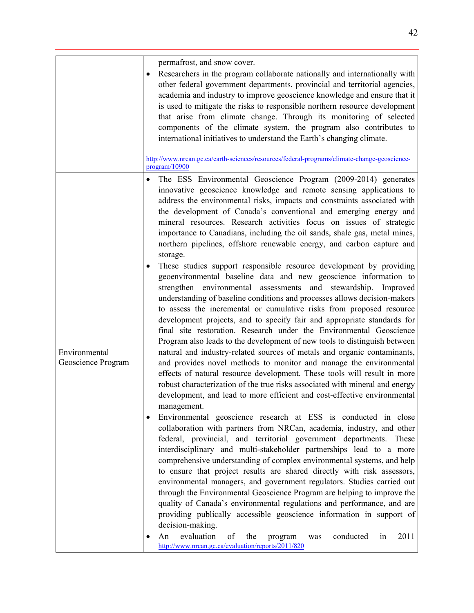|                                     | permafrost, and snow cover.<br>Researchers in the program collaborate nationally and internationally with<br>other federal government departments, provincial and territorial agencies,<br>academia and industry to improve geoscience knowledge and ensure that it<br>is used to mitigate the risks to responsible northern resource development<br>that arise from climate change. Through its monitoring of selected<br>components of the climate system, the program also contributes to<br>international initiatives to understand the Earth's changing climate.                                                                                                                                                                                                                                                                                                                                                                                                                                                                                                                                                                                                                                                                                                                                                                                                                                                                                                                                                                                                                                                                                                                                                                                                                                                                                                                                                                                                                                                                                                                                                                                                                                                                                                                                                      |
|-------------------------------------|----------------------------------------------------------------------------------------------------------------------------------------------------------------------------------------------------------------------------------------------------------------------------------------------------------------------------------------------------------------------------------------------------------------------------------------------------------------------------------------------------------------------------------------------------------------------------------------------------------------------------------------------------------------------------------------------------------------------------------------------------------------------------------------------------------------------------------------------------------------------------------------------------------------------------------------------------------------------------------------------------------------------------------------------------------------------------------------------------------------------------------------------------------------------------------------------------------------------------------------------------------------------------------------------------------------------------------------------------------------------------------------------------------------------------------------------------------------------------------------------------------------------------------------------------------------------------------------------------------------------------------------------------------------------------------------------------------------------------------------------------------------------------------------------------------------------------------------------------------------------------------------------------------------------------------------------------------------------------------------------------------------------------------------------------------------------------------------------------------------------------------------------------------------------------------------------------------------------------------------------------------------------------------------------------------------------------|
|                                     | http://www.nrcan.gc.ca/earth-sciences/resources/federal-programs/climate-change-geoscience-<br>program/10900                                                                                                                                                                                                                                                                                                                                                                                                                                                                                                                                                                                                                                                                                                                                                                                                                                                                                                                                                                                                                                                                                                                                                                                                                                                                                                                                                                                                                                                                                                                                                                                                                                                                                                                                                                                                                                                                                                                                                                                                                                                                                                                                                                                                               |
| Environmental<br>Geoscience Program | The ESS Environmental Geoscience Program (2009-2014) generates<br>innovative geoscience knowledge and remote sensing applications to<br>address the environmental risks, impacts and constraints associated with<br>the development of Canada's conventional and emerging energy and<br>mineral resources. Research activities focus on issues of strategic<br>importance to Canadians, including the oil sands, shale gas, metal mines,<br>northern pipelines, offshore renewable energy, and carbon capture and<br>storage.<br>These studies support responsible resource development by providing<br>geoenvironmental baseline data and new geoscience information to<br>strengthen<br>environmental assessments and stewardship.<br>Improved<br>understanding of baseline conditions and processes allows decision-makers<br>to assess the incremental or cumulative risks from proposed resource<br>development projects, and to specify fair and appropriate standards for<br>final site restoration. Research under the Environmental Geoscience<br>Program also leads to the development of new tools to distinguish between<br>natural and industry-related sources of metals and organic contaminants,<br>and provides novel methods to monitor and manage the environmental<br>effects of natural resource development. These tools will result in more<br>robust characterization of the true risks associated with mineral and energy<br>development, and lead to more efficient and cost-effective environmental<br>management.<br>Environmental geoscience research at ESS is conducted in close<br>٠<br>collaboration with partners from NRCan, academia, industry, and other<br>federal, provincial, and territorial government departments. These<br>interdisciplinary and multi-stakeholder partnerships lead to a more<br>comprehensive understanding of complex environmental systems, and help<br>to ensure that project results are shared directly with risk assessors,<br>environmental managers, and government regulators. Studies carried out<br>through the Environmental Geoscience Program are helping to improve the<br>quality of Canada's environmental regulations and performance, and are<br>providing publically accessible geoscience information in support of<br>decision-making. |
|                                     | evaluation<br>of<br>the<br>conducted<br>2011<br>An<br>program<br>in<br>was<br>http://www.nrcan.gc.ca/evaluation/reports/2011/820                                                                                                                                                                                                                                                                                                                                                                                                                                                                                                                                                                                                                                                                                                                                                                                                                                                                                                                                                                                                                                                                                                                                                                                                                                                                                                                                                                                                                                                                                                                                                                                                                                                                                                                                                                                                                                                                                                                                                                                                                                                                                                                                                                                           |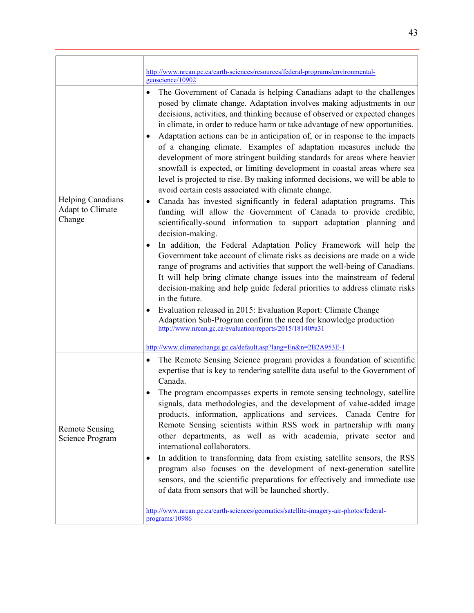|                                                        | http://www.nrcan.gc.ca/earth-sciences/resources/federal-programs/environmental-                                                                                                                                                                                                                                                                                                                                                                                                                                                                                                                                                                                                                                                                                                                                                                                                                                                                                                                                                                                                                                                                                                                                                                                                                                                                                                                                                                                                                                                                                                                                                                                                                                             |
|--------------------------------------------------------|-----------------------------------------------------------------------------------------------------------------------------------------------------------------------------------------------------------------------------------------------------------------------------------------------------------------------------------------------------------------------------------------------------------------------------------------------------------------------------------------------------------------------------------------------------------------------------------------------------------------------------------------------------------------------------------------------------------------------------------------------------------------------------------------------------------------------------------------------------------------------------------------------------------------------------------------------------------------------------------------------------------------------------------------------------------------------------------------------------------------------------------------------------------------------------------------------------------------------------------------------------------------------------------------------------------------------------------------------------------------------------------------------------------------------------------------------------------------------------------------------------------------------------------------------------------------------------------------------------------------------------------------------------------------------------------------------------------------------------|
| <b>Helping Canadians</b><br>Adapt to Climate<br>Change | geoscience/10902<br>The Government of Canada is helping Canadians adapt to the challenges<br>$\bullet$<br>posed by climate change. Adaptation involves making adjustments in our<br>decisions, activities, and thinking because of observed or expected changes<br>in climate, in order to reduce harm or take advantage of new opportunities.<br>Adaptation actions can be in anticipation of, or in response to the impacts<br>of a changing climate. Examples of adaptation measures include the<br>development of more stringent building standards for areas where heavier<br>snowfall is expected, or limiting development in coastal areas where sea<br>level is projected to rise. By making informed decisions, we will be able to<br>avoid certain costs associated with climate change.<br>Canada has invested significantly in federal adaptation programs. This<br>funding will allow the Government of Canada to provide credible,<br>scientifically-sound information to support adaptation planning and<br>decision-making.<br>In addition, the Federal Adaptation Policy Framework will help the<br>Government take account of climate risks as decisions are made on a wide<br>range of programs and activities that support the well-being of Canadians.<br>It will help bring climate change issues into the mainstream of federal<br>decision-making and help guide federal priorities to address climate risks<br>in the future.<br>Evaluation released in 2015: Evaluation Report: Climate Change<br>Adaptation Sub-Program confirm the need for knowledge production<br>http://www.nrcan.gc.ca/evaluation/reports/2015/18140#a31<br>http://www.climatechange.gc.ca/default.asp?lang=En&n=2B2A953E-1 |
| <b>Remote Sensing</b><br>Science Program               | The Remote Sensing Science program provides a foundation of scientific<br>٠<br>expertise that is key to rendering satellite data useful to the Government of<br>Canada.<br>The program encompasses experts in remote sensing technology, satellite<br>signals, data methodologies, and the development of value-added image<br>products, information, applications and services. Canada Centre for<br>Remote Sensing scientists within RSS work in partnership with many<br>other departments, as well as with academia, private sector and<br>international collaborators.<br>In addition to transforming data from existing satellite sensors, the RSS<br>program also focuses on the development of next-generation satellite<br>sensors, and the scientific preparations for effectively and immediate use<br>of data from sensors that will be launched shortly.<br>http://www.nrcan.gc.ca/earth-sciences/geomatics/satellite-imagery-air-photos/federal-<br>programs/10986                                                                                                                                                                                                                                                                                                                                                                                                                                                                                                                                                                                                                                                                                                                                            |